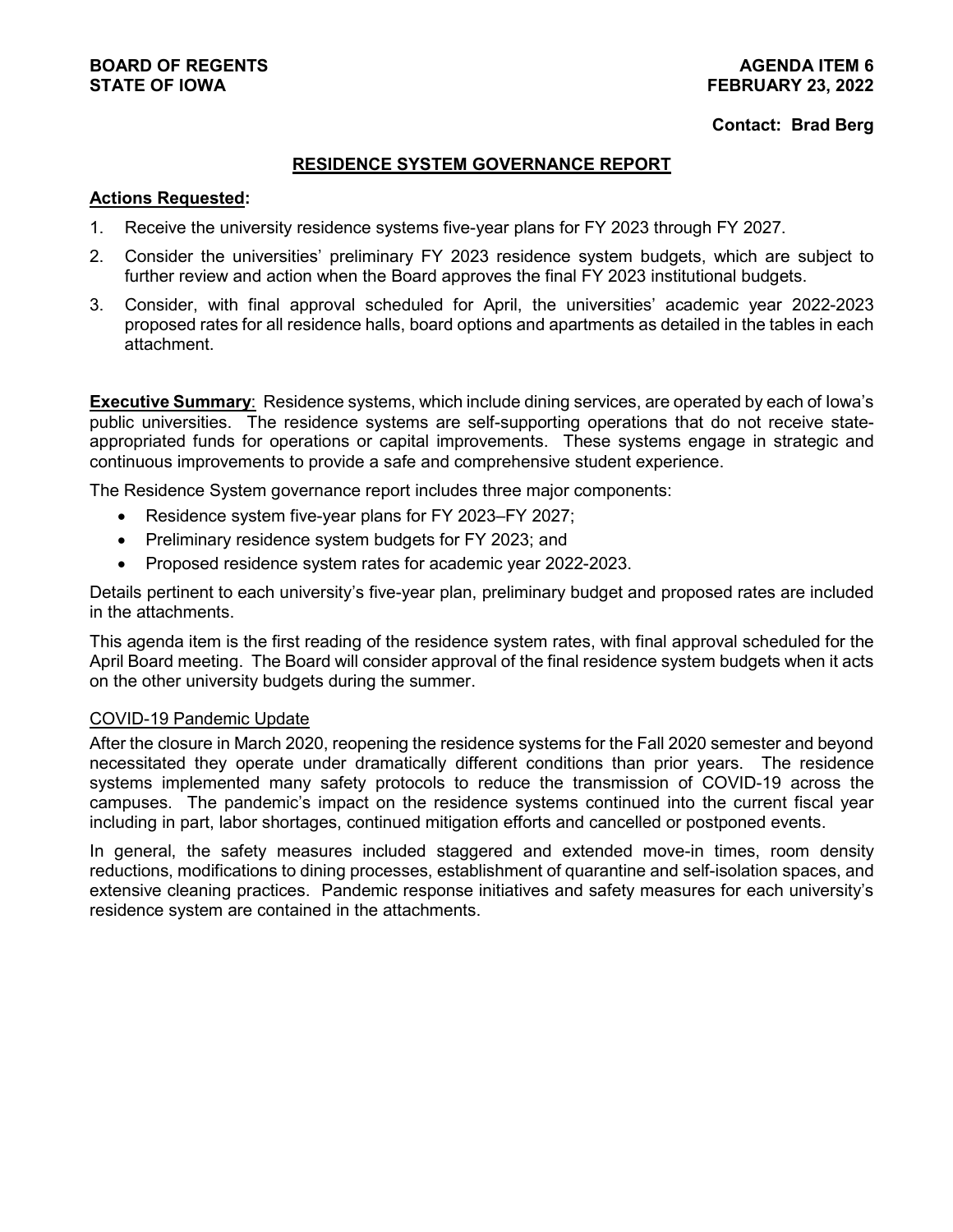# **BOARD OF REGENTS AGENDA ITEM 6**

#### **Contact: Brad Berg**

#### **RESIDENCE SYSTEM GOVERNANCE REPORT**

#### **Actions Requested:**

- 1. Receive the university residence systems five-year plans for FY 2023 through FY 2027.
- 2. Consider the universities' preliminary FY 2023 residence system budgets, which are subject to further review and action when the Board approves the final FY 2023 institutional budgets.
- 3. Consider, with final approval scheduled for April, the universities' academic year 2022-2023 proposed rates for all residence halls, board options and apartments as detailed in the tables in each attachment.

**Executive Summary:** Residence systems, which include dining services, are operated by each of lowa's public universities. The residence systems are self-supporting operations that do not receive stateappropriated funds for operations or capital improvements. These systems engage in strategic and continuous improvements to provide a safe and comprehensive student experience.

The Residence System governance report includes three major components:

- Residence system five-year plans for FY 2023–FY 2027;
- Preliminary residence system budgets for FY 2023; and
- Proposed residence system rates for academic year 2022-2023.

Details pertinent to each university's five-year plan, preliminary budget and proposed rates are included in the attachments.

This agenda item is the first reading of the residence system rates, with final approval scheduled for the April Board meeting. The Board will consider approval of the final residence system budgets when it acts on the other university budgets during the summer.

#### COVID-19 Pandemic Update

After the closure in March 2020, reopening the residence systems for the Fall 2020 semester and beyond necessitated they operate under dramatically different conditions than prior years. The residence systems implemented many safety protocols to reduce the transmission of COVID-19 across the campuses. The pandemic's impact on the residence systems continued into the current fiscal year including in part, labor shortages, continued mitigation efforts and cancelled or postponed events.

In general, the safety measures included staggered and extended move-in times, room density reductions, modifications to dining processes, establishment of quarantine and self-isolation spaces, and extensive cleaning practices. Pandemic response initiatives and safety measures for each university's residence system are contained in the attachments.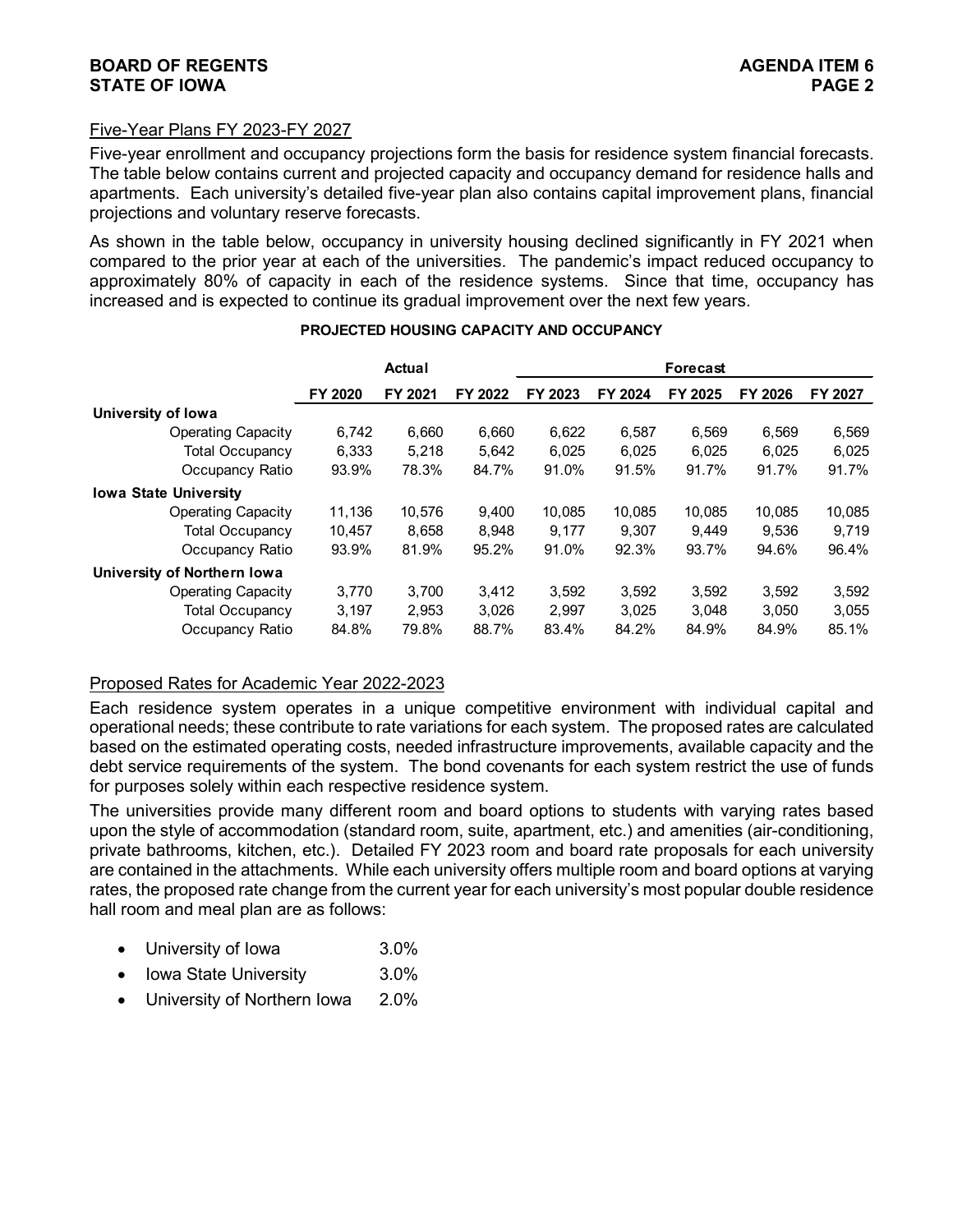#### **BOARD OF REGENTS**<br>STATE OF IOWA **PAGE 2 STATE OF IOWA**

#### Five-Year Plans FY 2023-FY 2027

Five-year enrollment and occupancy projections form the basis for residence system financial forecasts. The table below contains current and projected capacity and occupancy demand for residence halls and apartments. Each university's detailed five-year plan also contains capital improvement plans, financial projections and voluntary reserve forecasts.

As shown in the table below, occupancy in university housing declined significantly in FY 2021 when compared to the prior year at each of the universities. The pandemic's impact reduced occupancy to approximately 80% of capacity in each of the residence systems. Since that time, occupancy has increased and is expected to continue its gradual improvement over the next few years.

|                              | Actual  |         |         |         |         | <b>Forecast</b> |         |         |  |
|------------------------------|---------|---------|---------|---------|---------|-----------------|---------|---------|--|
|                              | FY 2020 | FY 2021 | FY 2022 | FY 2023 | FY 2024 | FY 2025         | FY 2026 | FY 2027 |  |
| University of Iowa           |         |         |         |         |         |                 |         |         |  |
| <b>Operating Capacity</b>    | 6.742   | 6,660   | 6.660   | 6,622   | 6,587   | 6.569           | 6.569   | 6,569   |  |
| <b>Total Occupancy</b>       | 6,333   | 5.218   | 5.642   | 6.025   | 6.025   | 6.025           | 6.025   | 6.025   |  |
| Occupancy Ratio              | 93.9%   | 78.3%   | 84.7%   | 91.0%   | 91.5%   | 91.7%           | 91.7%   | 91.7%   |  |
| <b>Iowa State University</b> |         |         |         |         |         |                 |         |         |  |
| <b>Operating Capacity</b>    | 11,136  | 10,576  | 9,400   | 10.085  | 10.085  | 10.085          | 10,085  | 10,085  |  |
| <b>Total Occupancy</b>       | 10,457  | 8.658   | 8.948   | 9.177   | 9.307   | 9.449           | 9.536   | 9.719   |  |
| Occupancy Ratio              | 93.9%   | 81.9%   | 95.2%   | 91.0%   | 92.3%   | 93.7%           | 94.6%   | 96.4%   |  |
| University of Northern Iowa  |         |         |         |         |         |                 |         |         |  |
| <b>Operating Capacity</b>    | 3.770   | 3.700   | 3.412   | 3.592   | 3.592   | 3.592           | 3.592   | 3,592   |  |
| <b>Total Occupancy</b>       | 3.197   | 2,953   | 3.026   | 2.997   | 3.025   | 3.048           | 3.050   | 3,055   |  |
| Occupancy Ratio              | 84.8%   | 79.8%   | 88.7%   | 83.4%   | 84.2%   | 84.9%           | 84.9%   | 85.1%   |  |

#### **PROJECTED HOUSING CAPACITY AND OCCUPANCY**

## Proposed Rates for Academic Year 2022-2023

Each residence system operates in a unique competitive environment with individual capital and operational needs; these contribute to rate variations for each system. The proposed rates are calculated based on the estimated operating costs, needed infrastructure improvements, available capacity and the debt service requirements of the system. The bond covenants for each system restrict the use of funds for purposes solely within each respective residence system.

The universities provide many different room and board options to students with varying rates based upon the style of accommodation (standard room, suite, apartment, etc.) and amenities (air-conditioning, private bathrooms, kitchen, etc.). Detailed FY 2023 room and board rate proposals for each university are contained in the attachments. While each university offers multiple room and board options at varying rates, the proposed rate change from the current year for each university's most popular double residence hall room and meal plan are as follows:

- University of Iowa 3.0%
- Iowa State University 3.0%
- University of Northern Iowa 2.0%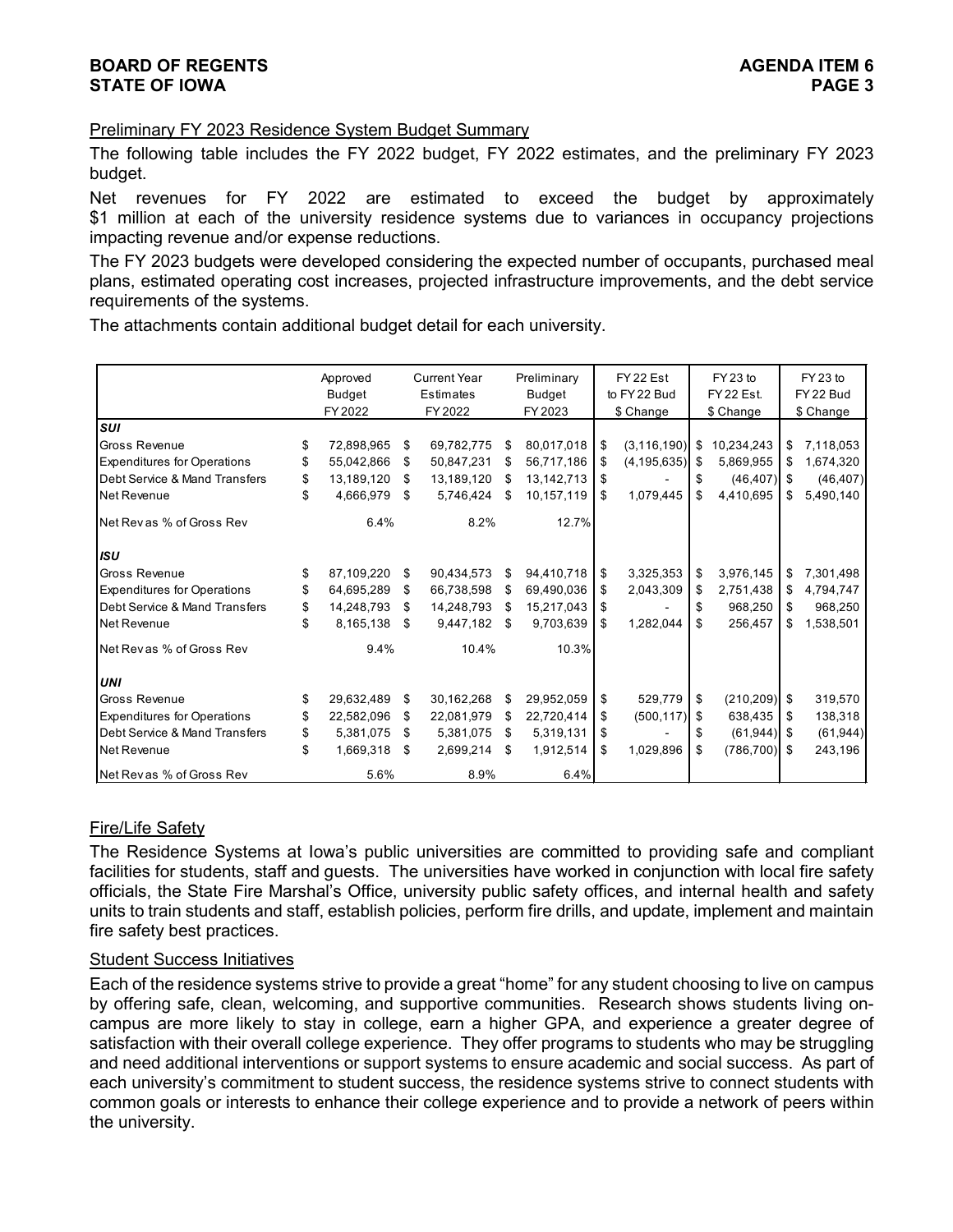## **BOARD OF REGENTS AGENDA ITEM 6 STATE OF IOWA**

#### Preliminary FY 2023 Residence System Budget Summary

The following table includes the FY 2022 budget, FY 2022 estimates, and the preliminary FY 2023 budget.

Net revenues for FY 2022 are estimated to exceed the budget by approximately \$1 million at each of the university residence systems due to variances in occupancy projections impacting revenue and/or expense reductions.

The FY 2023 budgets were developed considering the expected number of occupants, purchased meal plans, estimated operating cost increases, projected infrastructure improvements, and the debt service requirements of the systems.

The attachments contain additional budget detail for each university.

|                                    | Approved         |    | <b>Current Year</b> |    | Preliminary |    | FY22 Est           |     | FY 23 to          |      | FY 23 to  |
|------------------------------------|------------------|----|---------------------|----|-------------|----|--------------------|-----|-------------------|------|-----------|
|                                    | Budget           |    | Estimates           |    | Budget      |    | to FY 22 Bud       |     | <b>FY 22 Est.</b> |      | FY 22 Bud |
|                                    | FY 2022          |    | FY 2022             |    | FY 2023     |    | \$ Change          |     | \$ Change         |      | \$ Change |
| SUI                                |                  |    |                     |    |             |    |                    |     |                   |      |           |
| Gross Revenue                      | \$<br>72,898,965 | \$ | 69,782,775          | S  | 80,017,018  | \$ | $(3, 116, 190)$ \$ |     | 10,234,243        | \$   | 7,118,053 |
| <b>Expenditures for Operations</b> | \$<br>55,042,866 | \$ | 50,847,231          | \$ | 56,717,186  | \$ | $(4, 195, 635)$ \$ |     | 5,869,955         | \$   | 1,674,320 |
| Debt Service & Mand Transfers      | \$<br>13,189,120 | S  | 13,189,120          | S  | 13,142,713  | S  |                    | \$  | (46, 407)         | \$   | (46, 407) |
| Net Revenue                        | \$<br>4,666,979  | \$ | 5,746,424           | \$ | 10,157,119  | \$ | 1,079,445          | \$  | 4,410,695         | \$   | 5,490,140 |
| Net Rev as % of Gross Rev          | 6.4%             |    | 8.2%                |    | 12.7%       |    |                    |     |                   |      |           |
| <b>ISU</b>                         |                  |    |                     |    |             |    |                    |     |                   |      |           |
| Gross Revenue                      | \$<br>87,109,220 | \$ | 90,434,573          | \$ | 94,410,718  | \$ | 3,325,353          | \$  | 3,976,145         | \$   | 7,301,498 |
| <b>Expenditures for Operations</b> | \$<br>64,695,289 | \$ | 66,738,598          | \$ | 69,490,036  | \$ | 2,043,309          | \$  | 2,751,438         | \$   | 4,794,747 |
| Debt Service & Mand Transfers      | \$<br>14,248,793 | \$ | 14,248,793          | \$ | 15,217,043  | \$ |                    | \$  | 968,250           | \$   | 968,250   |
| Net Revenue                        | \$<br>8,165,138  | S  | 9,447,182           | \$ | 9,703,639   | \$ | 1,282,044          | \$  | 256,457           | \$   | 1,538,501 |
| Net Rev as % of Gross Rev          | 9.4%             |    | 10.4%               |    | 10.3%       |    |                    |     |                   |      |           |
| <b>UNI</b>                         |                  |    |                     |    |             |    |                    |     |                   |      |           |
| Gross Revenue                      | \$<br>29,632,489 | \$ | 30,162,268          | \$ | 29,952,059  | \$ | 529,779            | \$  | $(210, 209)$ \$   |      | 319,570   |
| <b>Expenditures for Operations</b> | \$<br>22,582,096 | \$ | 22,081,979          | \$ | 22,720,414  | \$ | $(500, 117)$ \$    |     | 638,435           | \$   | 138,318   |
| Debt Service & Mand Transfers      | \$<br>5,381,075  | \$ | 5,381,075           | \$ | 5,319,131   | \$ |                    | \$. | $(61, 944)$ \$    |      | (61, 944) |
| Net Revenue                        | \$<br>1,669,318  | \$ | 2,699,214           | \$ | 1,912,514   | \$ | 1,029,896          | \$  | (786, 700)        | - \$ | 243,196   |
| Net Revas % of Gross Rev           | 5.6%             |    | 8.9%                |    | 6.4%        |    |                    |     |                   |      |           |

## Fire/Life Safety

The Residence Systems at Iowa's public universities are committed to providing safe and compliant facilities for students, staff and guests. The universities have worked in conjunction with local fire safety officials, the State Fire Marshal's Office, university public safety offices, and internal health and safety units to train students and staff, establish policies, perform fire drills, and update, implement and maintain fire safety best practices.

#### Student Success Initiatives

Each of the residence systems strive to provide a great "home" for any student choosing to live on campus by offering safe, clean, welcoming, and supportive communities. Research shows students living oncampus are more likely to stay in college, earn a higher GPA, and experience a greater degree of satisfaction with their overall college experience. They offer programs to students who may be struggling and need additional interventions or support systems to ensure academic and social success. As part of each university's commitment to student success, the residence systems strive to connect students with common goals or interests to enhance their college experience and to provide a network of peers within the university.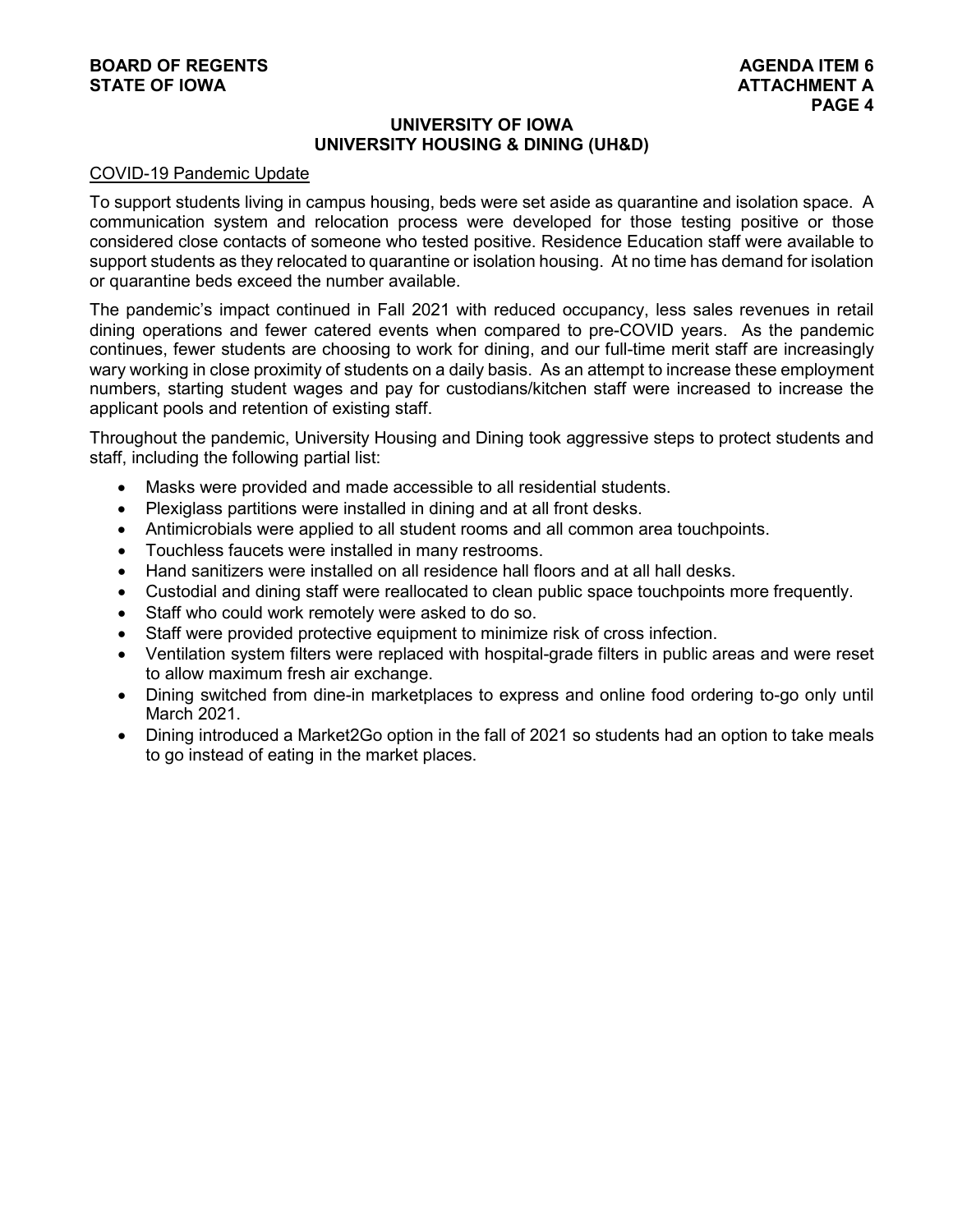## **BOARD OF REGENTS**<br> **BOARD OF REGENTS**<br> **BOARD OF IOWA**<br> **ATTACHMENT A STATE OF IOWA**

#### **UNIVERSITY OF IOWA UNIVERSITY HOUSING & DINING (UH&D)**

#### COVID-19 Pandemic Update

To support students living in campus housing, beds were set aside as quarantine and isolation space. A communication system and relocation process were developed for those testing positive or those considered close contacts of someone who tested positive. Residence Education staff were available to support students as they relocated to quarantine or isolation housing. At no time has demand for isolation or quarantine beds exceed the number available.

The pandemic's impact continued in Fall 2021 with reduced occupancy, less sales revenues in retail dining operations and fewer catered events when compared to pre-COVID years. As the pandemic continues, fewer students are choosing to work for dining, and our full-time merit staff are increasingly wary working in close proximity of students on a daily basis. As an attempt to increase these employment numbers, starting student wages and pay for custodians/kitchen staff were increased to increase the applicant pools and retention of existing staff.

Throughout the pandemic, University Housing and Dining took aggressive steps to protect students and staff, including the following partial list:

- Masks were provided and made accessible to all residential students.
- Plexiglass partitions were installed in dining and at all front desks.
- Antimicrobials were applied to all student rooms and all common area touchpoints.
- Touchless faucets were installed in many restrooms.
- Hand sanitizers were installed on all residence hall floors and at all hall desks.
- Custodial and dining staff were reallocated to clean public space touchpoints more frequently.
- Staff who could work remotely were asked to do so.
- Staff were provided protective equipment to minimize risk of cross infection.
- Ventilation system filters were replaced with hospital-grade filters in public areas and were reset to allow maximum fresh air exchange.
- Dining switched from dine-in marketplaces to express and online food ordering to-go only until March 2021.
- Dining introduced a Market2Go option in the fall of 2021 so students had an option to take meals to go instead of eating in the market places.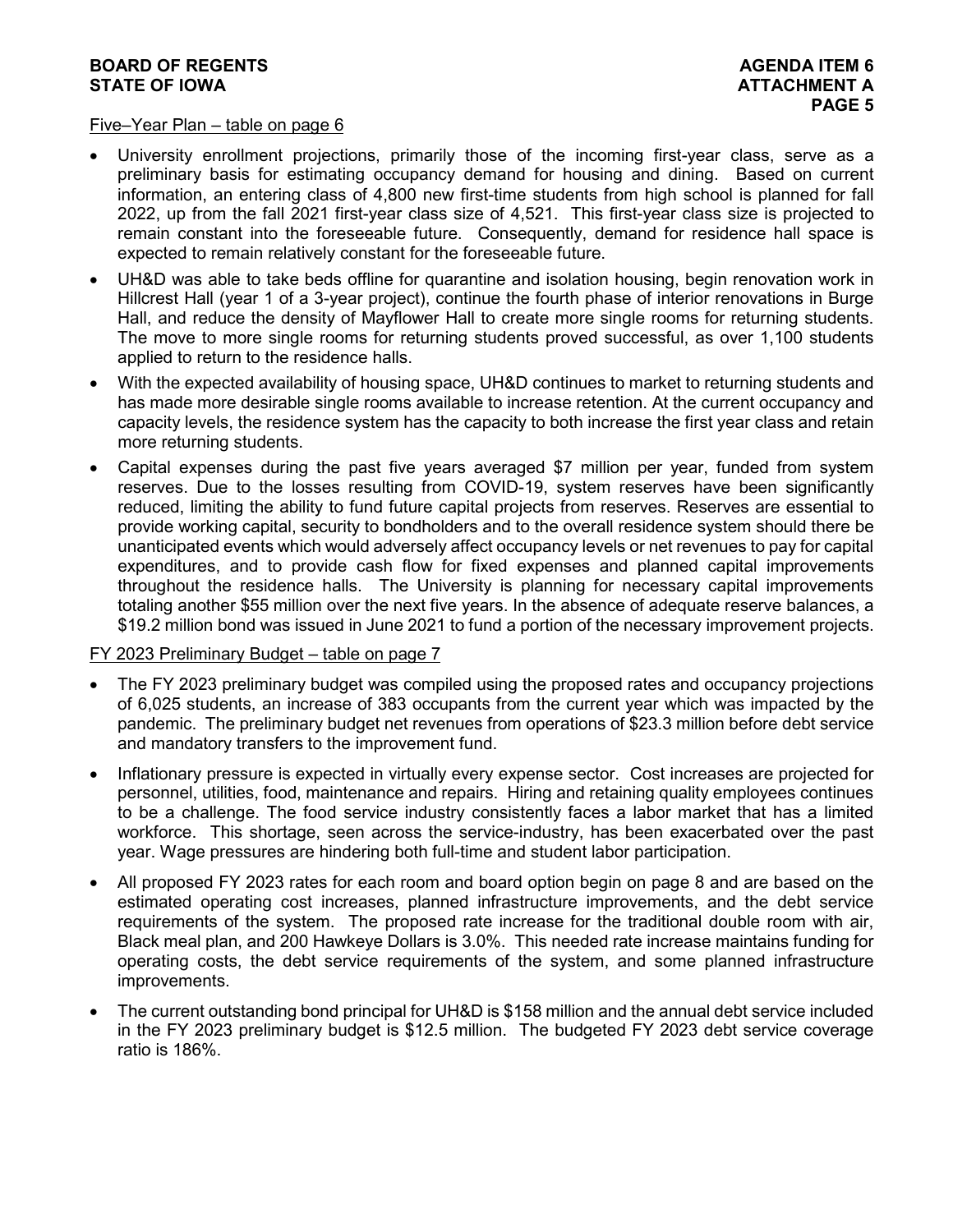#### **BOARD OF REGENTS**<br> **BOARD OF REGENTS**<br> **BOARD OF IOWA**<br> **ATTACHMENT A STATE OF IOWA**

#### Five–Year Plan – table on page 6

- University enrollment projections, primarily those of the incoming first-year class, serve as a preliminary basis for estimating occupancy demand for housing and dining. Based on current information, an entering class of 4,800 new first-time students from high school is planned for fall 2022, up from the fall 2021 first-year class size of 4,521. This first-year class size is projected to remain constant into the foreseeable future. Consequently, demand for residence hall space is expected to remain relatively constant for the foreseeable future.
- UH&D was able to take beds offline for quarantine and isolation housing, begin renovation work in Hillcrest Hall (year 1 of a 3-year project), continue the fourth phase of interior renovations in Burge Hall, and reduce the density of Mayflower Hall to create more single rooms for returning students. The move to more single rooms for returning students proved successful, as over 1,100 students applied to return to the residence halls.
- With the expected availability of housing space, UH&D continues to market to returning students and has made more desirable single rooms available to increase retention. At the current occupancy and capacity levels, the residence system has the capacity to both increase the first year class and retain more returning students.
- Capital expenses during the past five years averaged \$7 million per year, funded from system reserves. Due to the losses resulting from COVID-19, system reserves have been significantly reduced, limiting the ability to fund future capital projects from reserves. Reserves are essential to provide working capital, security to bondholders and to the overall residence system should there be unanticipated events which would adversely affect occupancy levels or net revenues to pay for capital expenditures, and to provide cash flow for fixed expenses and planned capital improvements throughout the residence halls. The University is planning for necessary capital improvements totaling another \$55 million over the next five years. In the absence of adequate reserve balances, a \$19.2 million bond was issued in June 2021 to fund a portion of the necessary improvement projects.

#### FY 2023 Preliminary Budget – table on page 7

- The FY 2023 preliminary budget was compiled using the proposed rates and occupancy projections of 6,025 students, an increase of 383 occupants from the current year which was impacted by the pandemic. The preliminary budget net revenues from operations of \$23.3 million before debt service and mandatory transfers to the improvement fund.
- Inflationary pressure is expected in virtually every expense sector. Cost increases are projected for personnel, utilities, food, maintenance and repairs. Hiring and retaining quality employees continues to be a challenge. The food service industry consistently faces a labor market that has a limited workforce. This shortage, seen across the service-industry, has been exacerbated over the past year. Wage pressures are hindering both full-time and student labor participation.
- All proposed FY 2023 rates for each room and board option begin on page 8 and are based on the estimated operating cost increases, planned infrastructure improvements, and the debt service requirements of the system. The proposed rate increase for the traditional double room with air, Black meal plan, and 200 Hawkeye Dollars is 3.0%. This needed rate increase maintains funding for operating costs, the debt service requirements of the system, and some planned infrastructure improvements.
- The current outstanding bond principal for UH&D is \$158 million and the annual debt service included in the FY 2023 preliminary budget is \$12.5 million. The budgeted FY 2023 debt service coverage ratio is 186%.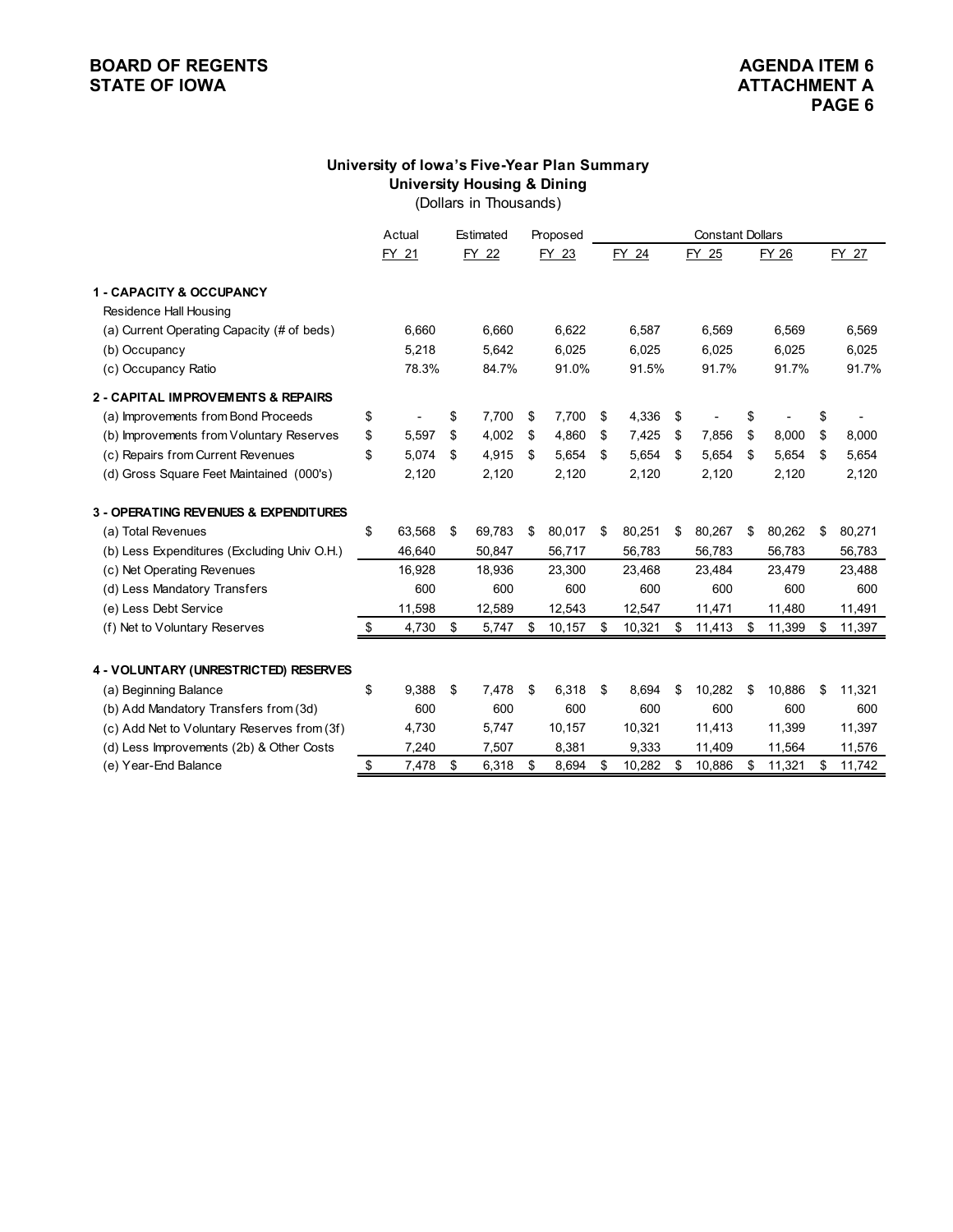# **BOARD OF REGENTS**<br> **BOARD OF REGENTS**<br> **BOARD OF IOWA**<br> **ATTACHMENT A**

# **University of Iowa's Five-Year Plan Summary University Housing & Dining**

(Dollars in Thousands)

|                                             | Actual       | Estimated    | Proposed     | <b>Constant Dollars</b> |        |    |        |    |        |    |        |
|---------------------------------------------|--------------|--------------|--------------|-------------------------|--------|----|--------|----|--------|----|--------|
|                                             | FY 21        | FY 22        | FY 23        |                         | FY 24  |    | FY 25  |    | FY 26  |    | FY 27  |
| <b>1 - CAPACITY &amp; OCCUPANCY</b>         |              |              |              |                         |        |    |        |    |        |    |        |
| Residence Hall Housing                      |              |              |              |                         |        |    |        |    |        |    |        |
| (a) Current Operating Capacity (# of beds)  | 6,660        | 6,660        | 6,622        |                         | 6,587  |    | 6,569  |    | 6,569  |    | 6,569  |
| (b) Occupancy                               | 5,218        | 5,642        | 6,025        |                         | 6,025  |    | 6,025  |    | 6,025  |    | 6,025  |
| (c) Occupancy Ratio                         | 78.3%        | 84.7%        | 91.0%        |                         | 91.5%  |    | 91.7%  |    | 91.7%  |    | 91.7%  |
| 2 - CAPITAL IMPROVEMENTS & REPAIRS          |              |              |              |                         |        |    |        |    |        |    |        |
| (a) Improvements from Bond Proceeds         | \$           | \$<br>7,700  | \$<br>7,700  | \$                      | 4,336  | \$ |        | \$ |        | \$ |        |
| (b) Improvements from Voluntary Reserves    | \$<br>5,597  | \$<br>4,002  | \$<br>4,860  | \$                      | 7,425  | \$ | 7,856  | \$ | 8,000  | \$ | 8,000  |
| (c) Repairs from Current Revenues           | \$<br>5.074  | \$<br>4,915  | \$<br>5,654  | \$                      | 5,654  | \$ | 5,654  | \$ | 5,654  | \$ | 5,654  |
| (d) Gross Square Feet Maintained (000's)    | 2,120        | 2,120        | 2,120        |                         | 2,120  |    | 2,120  |    | 2,120  |    | 2,120  |
| 3 - OPERATING REVENUES & EXPENDITURES       |              |              |              |                         |        |    |        |    |        |    |        |
| (a) Total Revenues                          | \$<br>63,568 | \$<br>69,783 | \$<br>80,017 | \$                      | 80,251 | \$ | 80,267 | \$ | 80,262 | \$ | 80,271 |
| (b) Less Expenditures (Excluding Univ O.H.) | 46,640       | 50,847       | 56,717       |                         | 56,783 |    | 56,783 |    | 56,783 |    | 56,783 |
| (c) Net Operating Revenues                  | 16,928       | 18,936       | 23,300       |                         | 23,468 |    | 23,484 |    | 23,479 |    | 23,488 |
| (d) Less Mandatory Transfers                | 600          | 600          | 600          |                         | 600    |    | 600    |    | 600    |    | 600    |
| (e) Less Debt Service                       | 11,598       | 12,589       | 12,543       |                         | 12,547 |    | 11,471 |    | 11,480 |    | 11,491 |
| (f) Net to Voluntary Reserves               | \$<br>4,730  | \$<br>5,747  | \$<br>10,157 | \$                      | 10,321 | \$ | 11,413 | \$ | 11,399 | \$ | 11,397 |
| 4 - VOLUNTARY (UNRESTRICTED) RESERVES       |              |              |              |                         |        |    |        |    |        |    |        |
| (a) Beginning Balance                       | \$<br>9.388  | \$<br>7,478  | \$<br>6,318  | \$                      | 8.694  | \$ | 10.282 | \$ | 10,886 | \$ | 11,321 |
| (b) Add Mandatory Transfers from (3d)       | 600          | 600          | 600          |                         | 600    |    | 600    |    | 600    |    | 600    |
| (c) Add Net to Voluntary Reserves from (3f) | 4,730        | 5,747        | 10,157       |                         | 10,321 |    | 11,413 |    | 11,399 |    | 11,397 |
| (d) Less Improvements (2b) & Other Costs    | 7,240        | 7,507        | 8,381        |                         | 9,333  |    | 11,409 |    | 11,564 |    | 11,576 |
| (e) Year-End Balance                        | \$<br>7,478  | \$<br>6,318  | \$<br>8,694  | \$                      | 10,282 | \$ | 10,886 | \$ | 11,321 | \$ | 11,742 |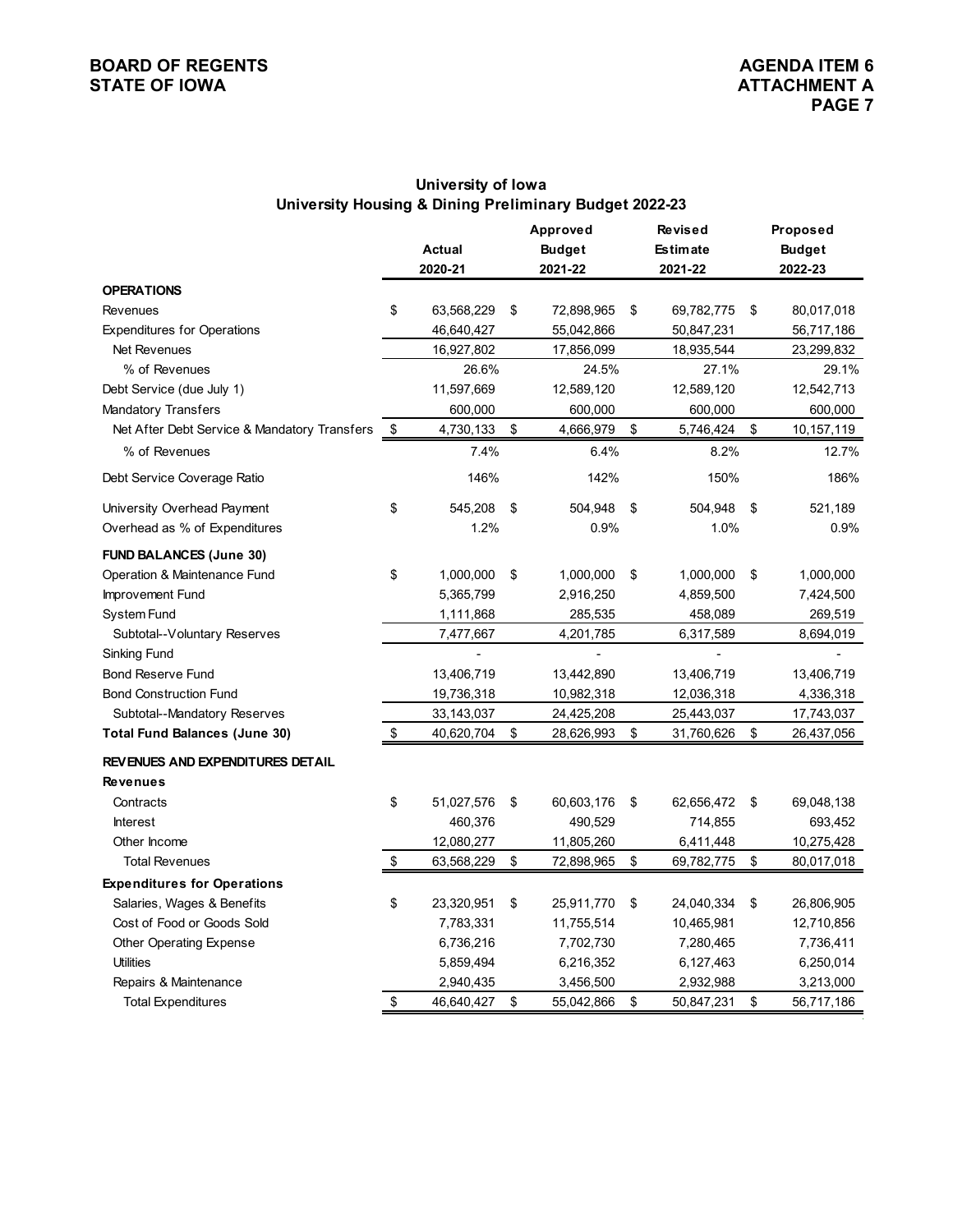#### **BOARD OF REGENTS**<br> **BOARD OF REGENTS**<br> **BOARD OF IOWA**<br> **ATTACHMENT A STATE OF IOWA**

# **University of Iowa University Housing & Dining Preliminary Budget 2022-23**

|                                              | <b>Actual</b><br>2020-21 | Approved<br><b>Budget</b><br>2021-22 | <b>Revised</b><br><b>Estimate</b><br>2021-22 | Proposed<br><b>Budget</b><br>2022-23 |
|----------------------------------------------|--------------------------|--------------------------------------|----------------------------------------------|--------------------------------------|
| <b>OPERATIONS</b>                            |                          |                                      |                                              |                                      |
| <b>Revenues</b>                              | \$<br>63,568,229         | \$<br>72,898,965                     | \$<br>69,782,775                             | \$<br>80,017,018                     |
| <b>Expenditures for Operations</b>           | 46,640,427               | 55,042,866                           | 50,847,231                                   | 56,717,186                           |
| Net Revenues                                 | 16,927,802               | 17,856,099                           | 18,935,544                                   | 23,299,832                           |
| % of Revenues                                | 26.6%                    | 24.5%                                | 27.1%                                        | 29.1%                                |
| Debt Service (due July 1)                    | 11,597,669               | 12,589,120                           | 12,589,120                                   | 12,542,713                           |
| <b>Mandatory Transfers</b>                   | 600,000                  | 600,000                              | 600,000                                      | 600,000                              |
| Net After Debt Service & Mandatory Transfers | \$<br>4,730,133          | \$<br>4,666,979                      | \$<br>5,746,424                              | \$<br>10,157,119                     |
| % of Revenues                                | 7.4%                     | 6.4%                                 | 8.2%                                         | 12.7%                                |
| Debt Service Coverage Ratio                  | 146%                     | 142%                                 | 150%                                         | 186%                                 |
| University Overhead Payment                  | \$<br>545,208            | \$<br>504,948                        | \$<br>504,948                                | \$<br>521,189                        |
| Overhead as % of Expenditures                | 1.2%                     | 0.9%                                 | 1.0%                                         | 0.9%                                 |
| <b>FUND BALANCES (June 30)</b>               |                          |                                      |                                              |                                      |
| Operation & Maintenance Fund                 | \$<br>1,000,000          | \$<br>1,000,000                      | \$<br>1,000,000                              | \$<br>1,000,000                      |
| Improvement Fund                             | 5,365,799                | 2,916,250                            | 4,859,500                                    | 7,424,500                            |
| <b>System Fund</b>                           | 1,111,868                | 285,535                              | 458,089                                      | 269,519                              |
| Subtotal--Voluntary Reserves                 | 7,477,667                | 4,201,785                            | 6,317,589                                    | 8,694,019                            |
| Sinking Fund                                 |                          |                                      |                                              |                                      |
| <b>Bond Reserve Fund</b>                     | 13,406,719               | 13,442,890                           | 13,406,719                                   | 13,406,719                           |
| <b>Bond Construction Fund</b>                | 19,736,318               | 10,982,318                           | 12,036,318                                   | 4,336,318                            |
| Subtotal--Mandatory Reserves                 | 33,143,037               | 24,425,208                           | 25,443,037                                   | 17,743,037                           |
| <b>Total Fund Balances (June 30)</b>         | \$<br>40,620,704         | \$<br>28,626,993                     | \$<br>31,760,626                             | \$<br>26,437,056                     |
| <b>REVENUES AND EXPENDITURES DETAIL</b>      |                          |                                      |                                              |                                      |
| <b>Revenues</b>                              |                          |                                      |                                              |                                      |
| Contracts                                    | \$<br>51,027,576         | \$<br>60,603,176                     | \$<br>62,656,472                             | \$<br>69,048,138                     |
| <b>Interest</b>                              | 460,376                  | 490,529                              | 714,855                                      | 693,452                              |
| Other Income                                 | 12,080,277               | 11,805,260                           | 6,411,448                                    | 10,275,428                           |
| <b>Total Revenues</b>                        | \$<br>63,568,229         | \$<br>72,898,965                     | \$<br>69,782,775                             | \$<br>80,017,018                     |
| <b>Expenditures for Operations</b>           |                          |                                      |                                              |                                      |
| Salaries, Wages & Benefits                   | \$<br>23,320,951         | \$<br>25,911,770                     | \$<br>24,040,334                             | \$<br>26,806,905                     |
| Cost of Food or Goods Sold                   | 7,783,331                | 11,755,514                           | 10,465,981                                   | 12,710,856                           |
| Other Operating Expense                      | 6,736,216                | 7,702,730                            | 7,280,465                                    | 7,736,411                            |
| <b>Utilities</b>                             | 5,859,494                | 6,216,352                            | 6,127,463                                    | 6,250,014                            |
| Repairs & Maintenance                        | 2,940,435                | 3,456,500                            | 2,932,988                                    | 3,213,000                            |
| <b>Total Expenditures</b>                    | \$<br>46,640,427         | \$<br>55,042,866                     | \$<br>50,847,231                             | \$<br>56,717,186                     |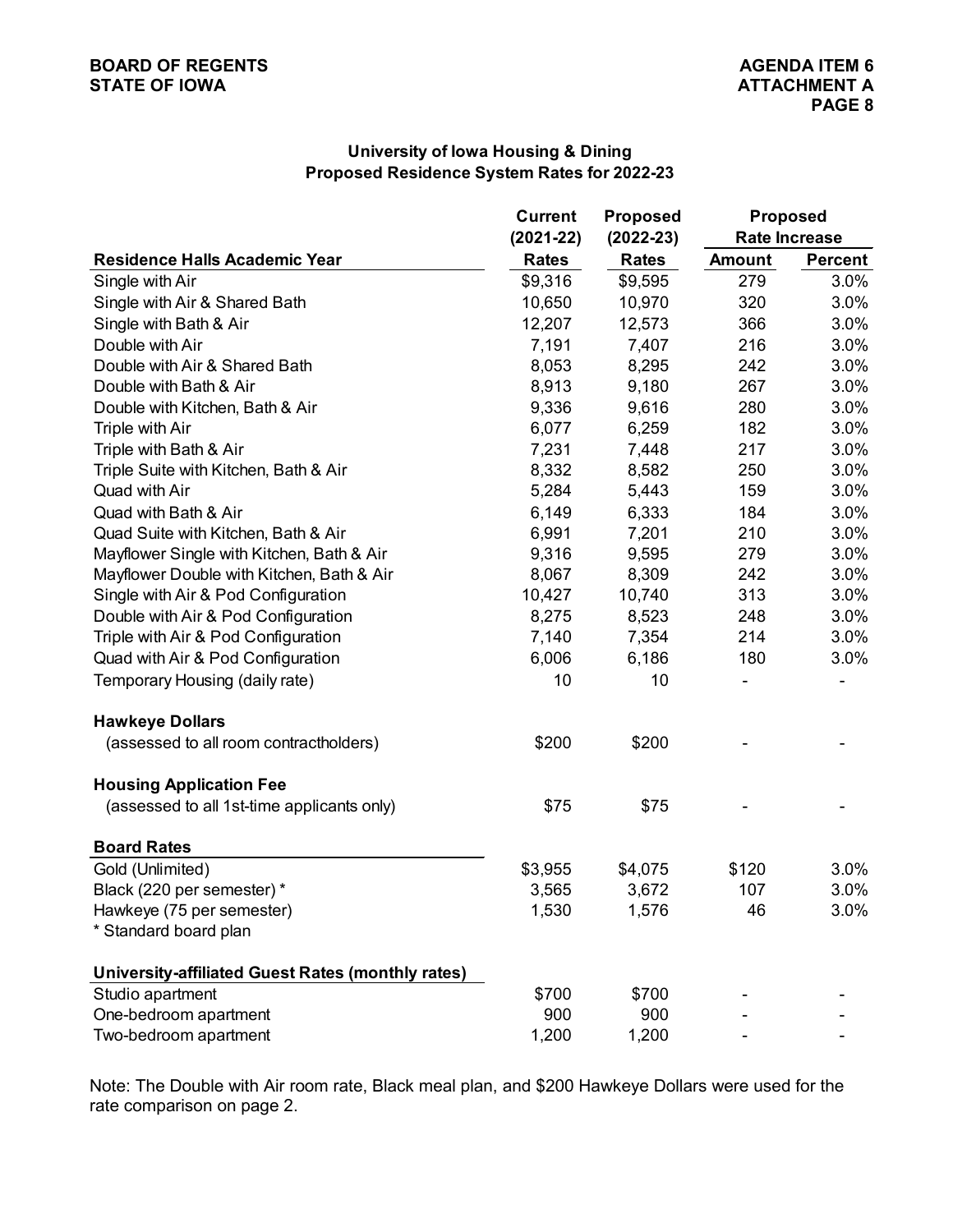# **University of Iowa Housing & Dining Proposed Residence System Rates for 2022-23**

|                                                   | <b>Current</b> | <b>Proposed</b> | <b>Proposed</b> |                      |  |  |  |
|---------------------------------------------------|----------------|-----------------|-----------------|----------------------|--|--|--|
|                                                   | $(2021 - 22)$  | $(2022 - 23)$   |                 | <b>Rate Increase</b> |  |  |  |
| <b>Residence Halls Academic Year</b>              | <b>Rates</b>   | <b>Rates</b>    | <b>Amount</b>   | <b>Percent</b>       |  |  |  |
| Single with Air                                   | \$9,316        | \$9,595         | 279             | 3.0%                 |  |  |  |
| Single with Air & Shared Bath                     | 10,650         | 10,970          | 320             | 3.0%                 |  |  |  |
| Single with Bath & Air                            | 12,207         | 12,573          | 366             | 3.0%                 |  |  |  |
| Double with Air                                   | 7,191          | 7,407           | 216             | 3.0%                 |  |  |  |
| Double with Air & Shared Bath                     | 8,053          | 8,295           | 242             | 3.0%                 |  |  |  |
| Double with Bath & Air                            | 8,913          | 9,180           | 267             | 3.0%                 |  |  |  |
| Double with Kitchen, Bath & Air                   | 9,336          | 9,616           | 280             | 3.0%                 |  |  |  |
| Triple with Air                                   | 6,077          | 6,259           | 182             | 3.0%                 |  |  |  |
| Triple with Bath & Air                            | 7,231          | 7,448           | 217             | 3.0%                 |  |  |  |
| Triple Suite with Kitchen, Bath & Air             | 8,332          | 8,582           | 250             | 3.0%                 |  |  |  |
| Quad with Air                                     | 5,284          | 5,443           | 159             | 3.0%                 |  |  |  |
| Quad with Bath & Air                              | 6,149          | 6,333           | 184             | 3.0%                 |  |  |  |
| Quad Suite with Kitchen, Bath & Air               | 6,991          | 7,201           | 210             | 3.0%                 |  |  |  |
| Mayflower Single with Kitchen, Bath & Air         | 9,316          | 9,595           | 279             | 3.0%                 |  |  |  |
| Mayflower Double with Kitchen, Bath & Air         | 8,067          | 8,309           | 242             | 3.0%                 |  |  |  |
| Single with Air & Pod Configuration               | 10,427         | 10,740          | 313             | 3.0%                 |  |  |  |
| Double with Air & Pod Configuration               | 8,275          | 8,523           | 248             | 3.0%                 |  |  |  |
| Triple with Air & Pod Configuration               | 7,140          | 7,354           | 214             | 3.0%                 |  |  |  |
| Quad with Air & Pod Configuration                 | 6,006          | 6,186           | 180             | 3.0%                 |  |  |  |
| Temporary Housing (daily rate)                    | 10             | 10              |                 |                      |  |  |  |
| <b>Hawkeye Dollars</b>                            |                |                 |                 |                      |  |  |  |
| (assessed to all room contractholders)            | \$200          | \$200           |                 |                      |  |  |  |
| <b>Housing Application Fee</b>                    |                |                 |                 |                      |  |  |  |
| (assessed to all 1st-time applicants only)        | \$75           | \$75            |                 |                      |  |  |  |
| <b>Board Rates</b>                                |                |                 |                 |                      |  |  |  |
| Gold (Unlimited)                                  | \$3,955        | \$4,075         | \$120           | 3.0%                 |  |  |  |
| Black (220 per semester) *                        | 3,565          | 3,672           | 107             | 3.0%                 |  |  |  |
| Hawkeye (75 per semester)                         | 1,530          | 1,576           | 46              | $3.0\%$              |  |  |  |
| * Standard board plan                             |                |                 |                 |                      |  |  |  |
| University-affiliated Guest Rates (monthly rates) |                |                 |                 |                      |  |  |  |
| Studio apartment                                  | \$700          | \$700           |                 |                      |  |  |  |
| One-bedroom apartment                             | 900            | 900             |                 |                      |  |  |  |
| Two-bedroom apartment                             | 1,200          | 1,200           |                 |                      |  |  |  |

Note: The Double with Air room rate, Black meal plan, and \$200 Hawkeye Dollars were used for the rate comparison on page 2.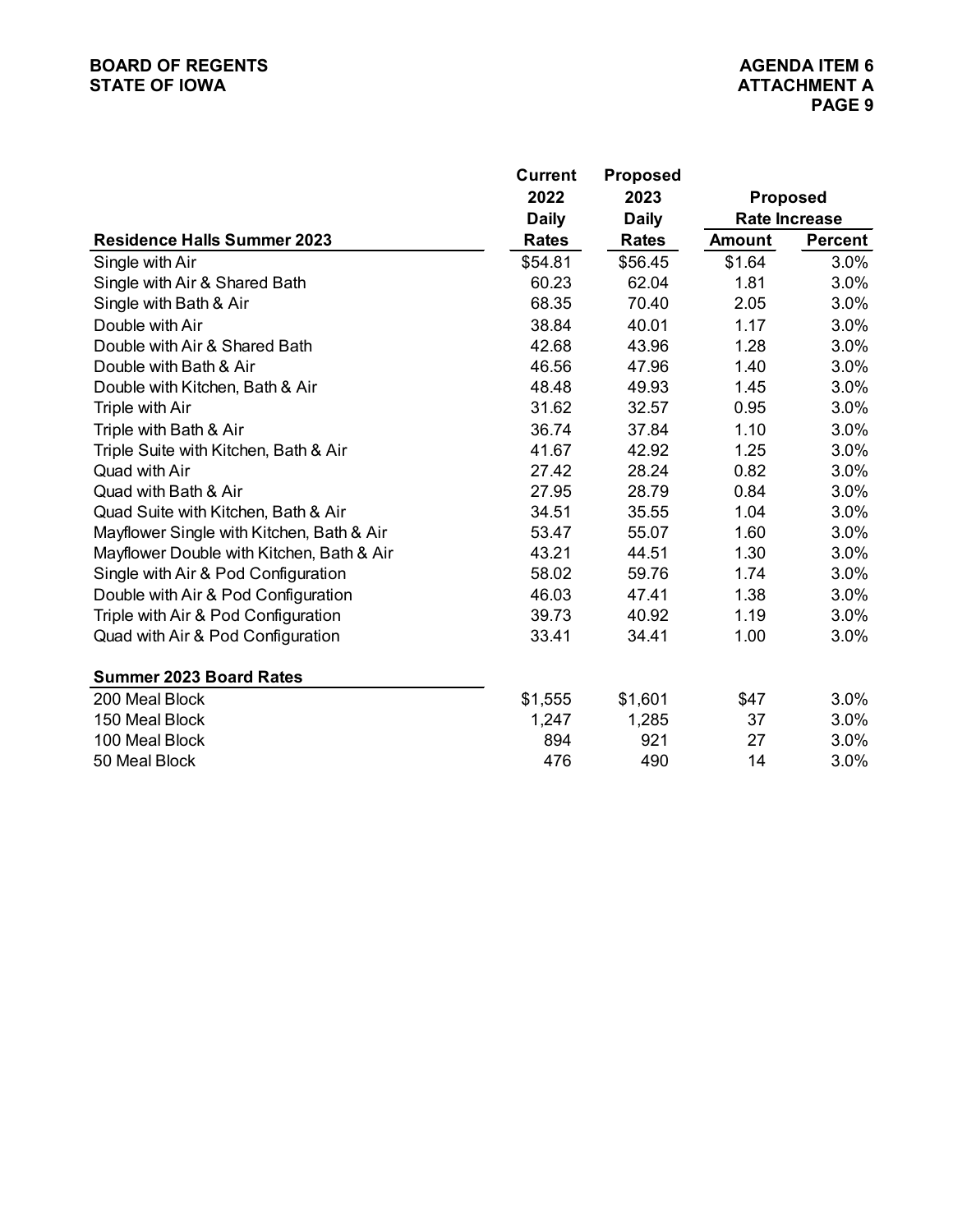# **BOARD OF REGENTS**<br> **BOARD OF REGENTS**<br> **BOARD OF IOWA**<br> **ATTACHMENT A STATE OF IOWA**

|                                           | <b>Current</b> | <b>Proposed</b> |                 |                      |
|-------------------------------------------|----------------|-----------------|-----------------|----------------------|
|                                           | 2022           | 2023            | <b>Proposed</b> |                      |
|                                           | <b>Daily</b>   | <b>Daily</b>    |                 | <b>Rate Increase</b> |
| <b>Residence Halls Summer 2023</b>        | <b>Rates</b>   | <b>Rates</b>    | <b>Amount</b>   | <b>Percent</b>       |
| Single with Air                           | \$54.81        | \$56.45         | \$1.64          | 3.0%                 |
| Single with Air & Shared Bath             | 60.23          | 62.04           | 1.81            | 3.0%                 |
| Single with Bath & Air                    | 68.35          | 70.40           | 2.05            | 3.0%                 |
| Double with Air                           | 38.84          | 40.01           | 1.17            | 3.0%                 |
| Double with Air & Shared Bath             | 42.68          | 43.96           | 1.28            | 3.0%                 |
| Double with Bath & Air                    | 46.56          | 47.96           | 1.40            | 3.0%                 |
| Double with Kitchen, Bath & Air           | 48.48          | 49.93           | 1.45            | 3.0%                 |
| Triple with Air                           | 31.62          | 32.57           | 0.95            | 3.0%                 |
| Triple with Bath & Air                    | 36.74          | 37.84           | 1.10            | 3.0%                 |
| Triple Suite with Kitchen, Bath & Air     | 41.67          | 42.92           | 1.25            | 3.0%                 |
| Quad with Air                             | 27.42          | 28.24           | 0.82            | 3.0%                 |
| Quad with Bath & Air                      | 27.95          | 28.79           | 0.84            | 3.0%                 |
| Quad Suite with Kitchen, Bath & Air       | 34.51          | 35.55           | 1.04            | 3.0%                 |
| Mayflower Single with Kitchen, Bath & Air | 53.47          | 55.07           | 1.60            | 3.0%                 |
| Mayflower Double with Kitchen, Bath & Air | 43.21          | 44.51           | 1.30            | 3.0%                 |
| Single with Air & Pod Configuration       | 58.02          | 59.76           | 1.74            | 3.0%                 |
| Double with Air & Pod Configuration       | 46.03          | 47.41           | 1.38            | 3.0%                 |
| Triple with Air & Pod Configuration       | 39.73          | 40.92           | 1.19            | 3.0%                 |
| Quad with Air & Pod Configuration         | 33.41          | 34.41           | 1.00            | 3.0%                 |
| <b>Summer 2023 Board Rates</b>            |                |                 |                 |                      |
| 200 Meal Block                            | \$1,555        | \$1,601         | \$47            | 3.0%                 |
| 150 Meal Block                            | 1,247          | 1,285           | 37              | 3.0%                 |
| 100 Meal Block                            | 894            | 921             | 27              | 3.0%                 |
| 50 Meal Block                             | 476            | 490             | 14              | 3.0%                 |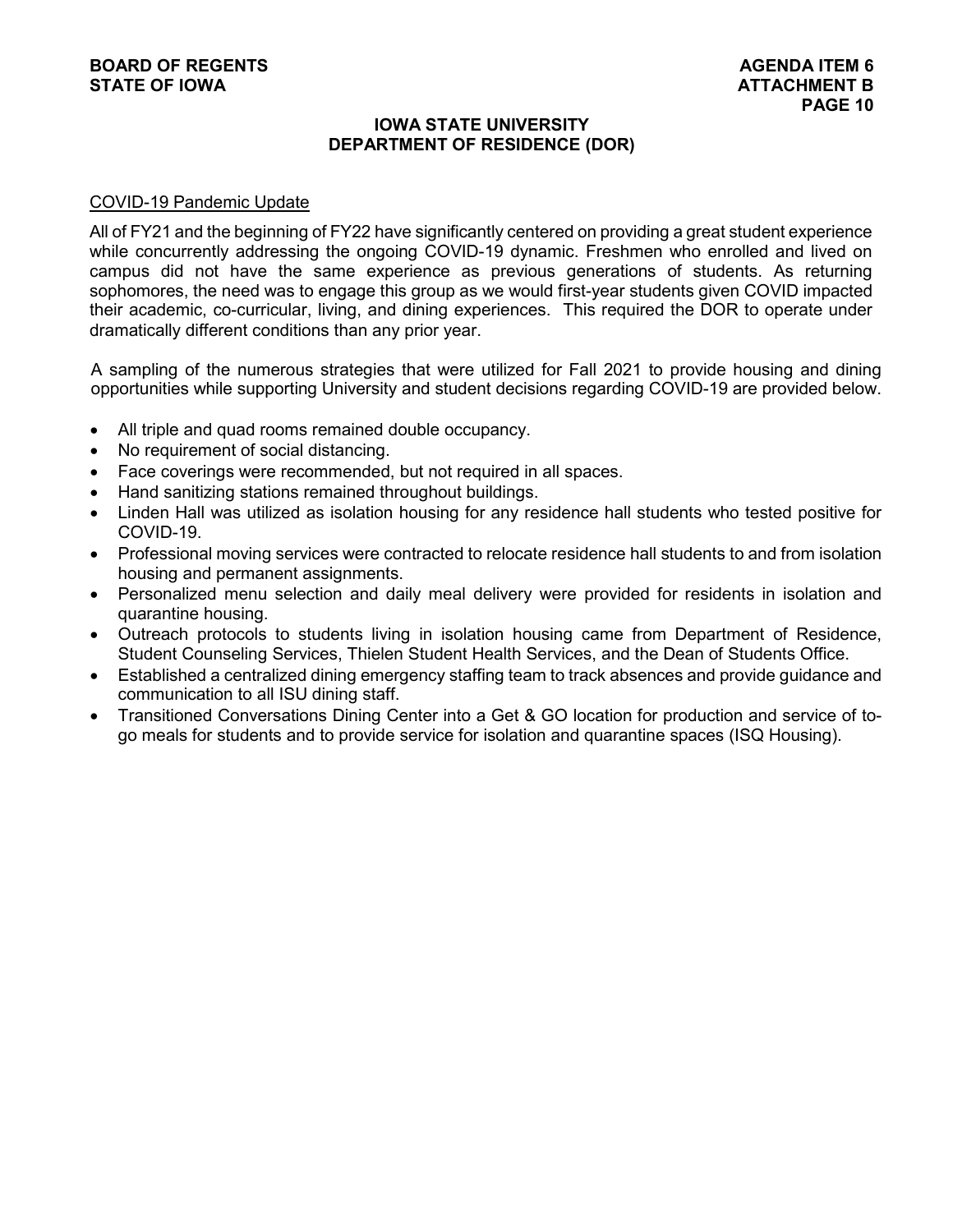#### **IOWA STATE UNIVERSITY DEPARTMENT OF RESIDENCE (DOR)**

#### COVID-19 Pandemic Update

All of FY21 and the beginning of FY22 have significantly centered on providing a great student experience while concurrently addressing the ongoing COVID-19 dynamic. Freshmen who enrolled and lived on campus did not have the same experience as previous generations of students. As returning sophomores, the need was to engage this group as we would first-year students given COVID impacted their academic, co-curricular, living, and dining experiences. This required the DOR to operate under dramatically different conditions than any prior year.

A sampling of the numerous strategies that were utilized for Fall 2021 to provide housing and dining opportunities while supporting University and student decisions regarding COVID-19 are provided below.

- All triple and quad rooms remained double occupancy.
- No requirement of social distancing.
- Face coverings were recommended, but not required in all spaces.
- Hand sanitizing stations remained throughout buildings.
- Linden Hall was utilized as isolation housing for any residence hall students who tested positive for COVID-19.
- Professional moving services were contracted to relocate residence hall students to and from isolation housing and permanent assignments.
- Personalized menu selection and daily meal delivery were provided for residents in isolation and quarantine housing.
- Outreach protocols to students living in isolation housing came from Department of Residence, Student Counseling Services, Thielen Student Health Services, and the Dean of Students Office.
- Established a centralized dining emergency staffing team to track absences and provide guidance and communication to all ISU dining staff.
- Transitioned Conversations Dining Center into a Get & GO location for production and service of togo meals for students and to provide service for isolation and quarantine spaces (ISQ Housing).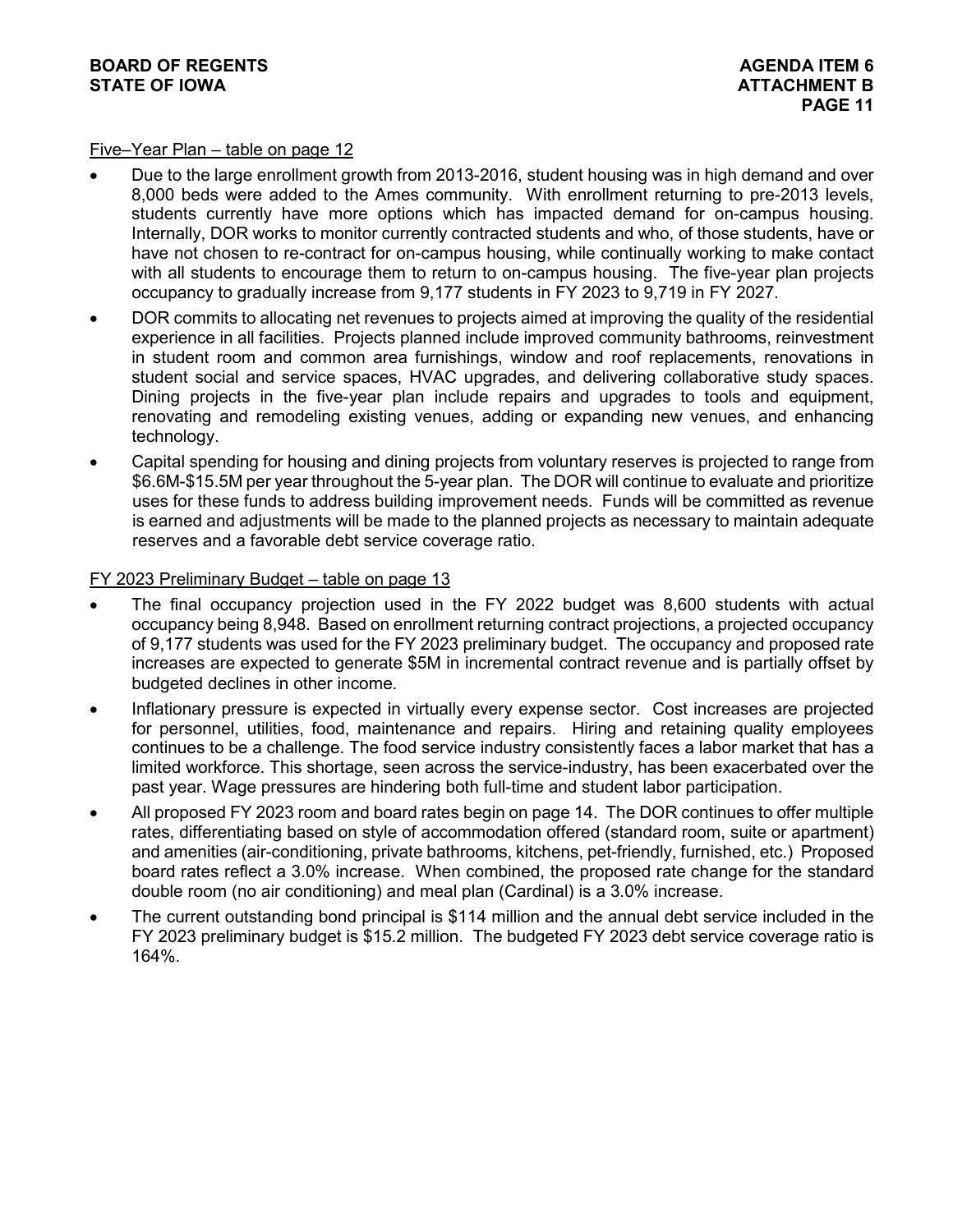#### Five–Year Plan – table on page 12

- Due to the large enrollment growth from 2013-2016, student housing was in high demand and over 8,000 beds were added to the Ames community. With enrollment returning to pre-2013 levels, students currently have more options which has impacted demand for on-campus housing. Internally, DOR works to monitor currently contracted students and who, of those students, have or have not chosen to re-contract for on-campus housing, while continually working to make contact with all students to encourage them to return to on-campus housing. The five-year plan projects occupancy to gradually increase from 9,177 students in FY 2023 to 9,719 in FY 2027.
- DOR commits to allocating net revenues to projects aimed at improving the quality of the residential experience in all facilities. Projects planned include improved community bathrooms, reinvestment in student room and common area furnishings, window and roof replacements, renovations in student social and service spaces, HVAC upgrades, and delivering collaborative study spaces. Dining projects in the five-year plan include repairs and upgrades to tools and equipment, renovating and remodeling existing venues, adding or expanding new venues, and enhancing technology.
- Capital spending for housing and dining projects from voluntary reserves is projected to range from \$6.6M-\$15.5M per year throughout the 5-year plan. The DOR will continue to evaluate and prioritize uses for these funds to address building improvement needs. Funds will be committed as revenue is earned and adjustments will be made to the planned projects as necessary to maintain adequate reserves and a favorable debt service coverage ratio.

#### FY 2023 Preliminary Budget - table on page 13

- The final occupancy projection used in the FY 2022 budget was 8,600 students with actual occupancy being 8,948. Based on enrollment returning contract projections, a projected occupancy of 9,177 students was used for the FY 2023 preliminary budget. The occupancy and proposed rate increases are expected to generate \$5M in incremental contract revenue and is partially offset by budgeted declines in other income.
- Inflationary pressure is expected in virtually every expense sector. Cost increases are projected for personnel, utilities, food, maintenance and repairs. Hiring and retaining quality employees continues to be a challenge. The food service industry consistently faces a labor market that has a limited workforce. This shortage, seen across the service-industry, has been exacerbated over the past year. Wage pressures are hindering both full-time and student labor participation.
- All proposed FY 2023 room and board rates begin on page 14. The DOR continues to offer multiple rates, differentiating based on style of accommodation offered (standard room, suite or apartment) and amenities (air-conditioning, private bathrooms, kitchens, pet-friendly, furnished, etc.) Proposed board rates reflect a 3.0% increase. When combined, the proposed rate change for the standard double room (no air conditioning) and meal plan (Cardinal) is a 3.0% increase.
- The current outstanding bond principal is \$114 million and the annual debt service included in the FY 2023 preliminary budget is \$15.2 million. The budgeted FY 2023 debt service coverage ratio is 164%.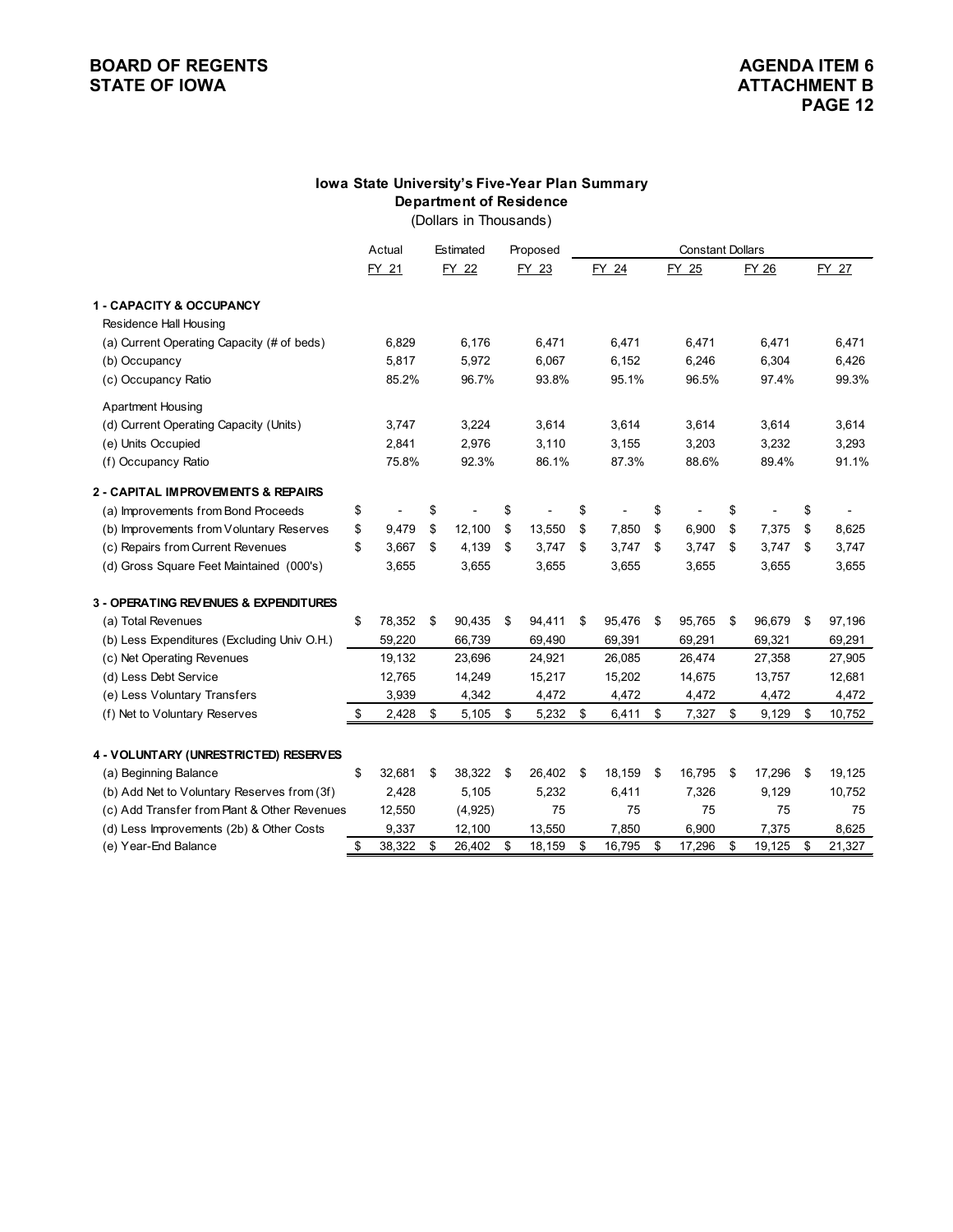# **BOARD OF REGENTS**<br> **BOARD OF REGENTS**<br> **BOARD OF IOWA**<br> **ATTACHMENT B**

### **Department of Residence Iowa State University's Five-Year Plan Summary**

(Dollars in Thousands)

|                                              | Actual       | Estimated    | Proposed     | <b>Constant Dollars</b> |        |    |        |    |        |    |                |
|----------------------------------------------|--------------|--------------|--------------|-------------------------|--------|----|--------|----|--------|----|----------------|
|                                              | FY 21        | FY 22        | FY 23        |                         | FY 24  |    | FY 25  |    | FY 26  |    | FY 27          |
| 1 - CAPACITY & OCCUPANCY                     |              |              |              |                         |        |    |        |    |        |    |                |
| Residence Hall Housing                       |              |              |              |                         |        |    |        |    |        |    |                |
| (a) Current Operating Capacity (# of beds)   | 6,829        | 6,176        | 6,471        |                         | 6,471  |    | 6,471  |    | 6,471  |    | 6,471          |
| (b) Occupancy                                | 5,817        | 5,972        | 6,067        |                         | 6,152  |    | 6,246  |    | 6,304  |    | 6,426          |
| (c) Occupancy Ratio                          | 85.2%        | 96.7%        | 93.8%        |                         | 95.1%  |    | 96.5%  |    | 97.4%  |    | 99.3%          |
| <b>Apartment Housing</b>                     |              |              |              |                         |        |    |        |    |        |    |                |
| (d) Current Operating Capacity (Units)       | 3,747        | 3,224        | 3,614        |                         | 3,614  |    | 3,614  |    | 3,614  |    | 3,614          |
| (e) Units Occupied                           | 2,841        | 2,976        | 3,110        |                         | 3,155  |    | 3,203  |    | 3,232  |    | 3,293          |
| (f) Occupancy Ratio                          | 75.8%        | 92.3%        | 86.1%        |                         | 87.3%  |    | 88.6%  |    | 89.4%  |    | 91.1%          |
| 2 - CAPITAL IMPROVEMENTS & REPAIRS           |              |              |              |                         |        |    |        |    |        |    |                |
| (a) Improvements from Bond Proceeds          | \$           | \$           | \$           | \$                      |        | \$ |        | \$ |        | \$ | $\blacksquare$ |
| (b) Improvements from Voluntary Reserves     | \$<br>9,479  | \$<br>12,100 | \$<br>13,550 | \$                      | 7,850  | \$ | 6,900  | \$ | 7,375  | \$ | 8,625          |
| (c) Repairs from Current Revenues            | \$<br>3,667  | \$<br>4,139  | \$<br>3,747  | \$                      | 3,747  | \$ | 3,747  | \$ | 3,747  | \$ | 3,747          |
| (d) Gross Square Feet Maintained (000's)     | 3,655        | 3,655        | 3,655        |                         | 3,655  |    | 3,655  |    | 3,655  |    | 3,655          |
| 3 - OPERATING REVENUES & EXPENDITURES        |              |              |              |                         |        |    |        |    |        |    |                |
| (a) Total Revenues                           | \$<br>78,352 | \$<br>90,435 | \$<br>94,411 | \$                      | 95,476 | \$ | 95,765 | \$ | 96,679 | \$ | 97,196         |
| (b) Less Expenditures (Excluding Univ O.H.)  | 59,220       | 66,739       | 69,490       |                         | 69,391 |    | 69,291 |    | 69,321 |    | 69,291         |
| (c) Net Operating Revenues                   | 19,132       | 23,696       | 24,921       |                         | 26,085 |    | 26,474 |    | 27,358 |    | 27,905         |
| (d) Less Debt Service                        | 12,765       | 14,249       | 15,217       |                         | 15,202 |    | 14,675 |    | 13,757 |    | 12,681         |
| (e) Less Voluntary Transfers                 | 3,939        | 4,342        | 4,472        |                         | 4,472  |    | 4,472  |    | 4,472  |    | 4,472          |
| (f) Net to Voluntary Reserves                | \$<br>2,428  | \$<br>5,105  | \$<br>5,232  | \$                      | 6,411  | \$ | 7,327  | \$ | 9,129  | \$ | 10,752         |
| 4 - VOLUNTARY (UNRESTRICTED) RESERVES        |              |              |              |                         |        |    |        |    |        |    |                |
| (a) Beginning Balance                        | \$<br>32,681 | 38,322       | 26,402       |                         | 18,159 |    | 16,795 |    | 17,296 |    | 19,125         |
| (b) Add Net to Voluntary Reserves from (3f)  | 2,428        | \$<br>5,105  | \$<br>5,232  | \$                      | 6,411  | \$ | 7,326  | \$ | 9,129  | \$ | 10,752         |
| (c) Add Transfer from Plant & Other Revenues | 12,550       | (4,925)      | 75           |                         | 75     |    | 75     |    | 75     |    | 75             |
| (d) Less Improvements (2b) & Other Costs     | 9,337        | 12,100       | 13,550       |                         | 7,850  |    | 6,900  |    | 7,375  |    | 8,625          |
| (e) Year-End Balance                         | \$<br>38,322 | \$<br>26,402 | \$<br>18,159 | \$                      | 16,795 | \$ | 17,296 | \$ | 19,125 | \$ | 21,327         |
|                                              |              |              |              |                         |        |    |        |    |        |    |                |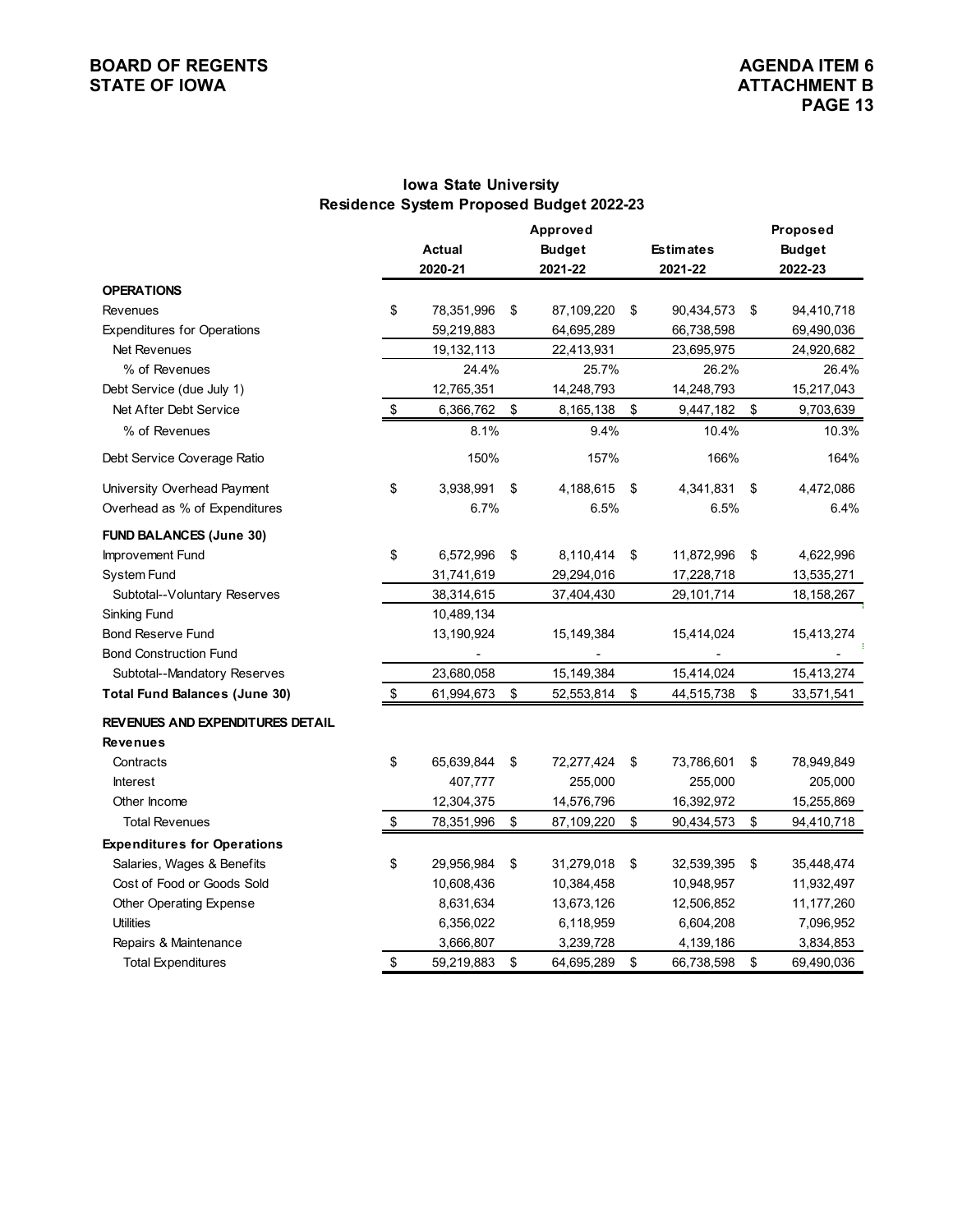#### **BOARD OF REGENTS**<br> **BOARD OF REGENTS**<br> **BOARD OF IOWA**<br> **ATTACHMENT B STATE OF IOWA**

## **Iowa State University Residence System Proposed Budget 2022-23**

|                                      |                   |               |    | Proposed                  |    |                  |                  |  |  |
|--------------------------------------|-------------------|---------------|----|---------------------------|----|------------------|------------------|--|--|
|                                      |                   | <b>Actual</b> |    | Approved<br><b>Budget</b> |    | <b>Estimates</b> | <b>Budget</b>    |  |  |
|                                      |                   | 2020-21       |    | 2021-22                   |    | 2021-22          | 2022-23          |  |  |
| <b>OPERATIONS</b>                    |                   |               |    |                           |    |                  |                  |  |  |
| Revenues                             | \$                | 78,351,996    | \$ | 87,109,220                | \$ | 90,434,573       | \$<br>94,410,718 |  |  |
| <b>Expenditures for Operations</b>   |                   | 59,219,883    |    | 64,695,289                |    | 66,738,598       | 69,490,036       |  |  |
| Net Revenues                         |                   | 19,132,113    |    | 22,413,931                |    | 23,695,975       | 24,920,682       |  |  |
| % of Revenues                        |                   | 24.4%         |    | 25.7%                     |    | 26.2%            | 26.4%            |  |  |
| Debt Service (due July 1)            |                   | 12,765,351    |    | 14,248,793                |    | 14,248,793       | 15,217,043       |  |  |
| Net After Debt Service               | \$                | 6,366,762     | \$ | 8,165,138                 | \$ | 9,447,182        | \$<br>9,703,639  |  |  |
| % of Revenues                        |                   | 8.1%          |    | 9.4%                      |    | 10.4%            | 10.3%            |  |  |
| Debt Service Coverage Ratio          |                   | 150%          |    | 157%                      |    | 166%             | 164%             |  |  |
| University Overhead Payment          | \$                | 3,938,991     | \$ | 4,188,615                 | \$ | 4,341,831        | \$<br>4,472,086  |  |  |
| Overhead as % of Expenditures        |                   | 6.7%          |    | 6.5%                      |    | 6.5%             | 6.4%             |  |  |
| <b>FUND BALANCES (June 30)</b>       |                   |               |    |                           |    |                  |                  |  |  |
| Improvement Fund                     | \$                | 6,572,996     | \$ | 8,110,414                 | \$ | 11,872,996       | \$<br>4,622,996  |  |  |
| System Fund                          |                   | 31,741,619    |    | 29,294,016                |    | 17,228,718       | 13,535,271       |  |  |
| Subtotal--Voluntary Reserves         |                   | 38,314,615    |    | 37,404,430                |    | 29,101,714       | 18, 158, 267     |  |  |
| <b>Sinking Fund</b>                  |                   | 10,489,134    |    |                           |    |                  |                  |  |  |
| Bond Reserve Fund                    |                   | 13,190,924    |    | 15,149,384                |    | 15,414,024       | 15,413,274       |  |  |
| <b>Bond Construction Fund</b>        |                   |               |    |                           |    |                  |                  |  |  |
| Subtotal--Mandatory Reserves         |                   | 23,680,058    |    | 15,149,384                |    | 15,414,024       | 15,413,274       |  |  |
| <b>Total Fund Balances (June 30)</b> | \$                | 61,994,673    | \$ | 52,553,814                | \$ | 44,515,738       | \$<br>33,571,541 |  |  |
| REVENUES AND EXPENDITURES DETAIL     |                   |               |    |                           |    |                  |                  |  |  |
| <b>Revenues</b>                      |                   |               |    |                           |    |                  |                  |  |  |
| Contracts                            | \$                | 65,639,844    | \$ | 72,277,424                | \$ | 73,786,601       | \$<br>78,949,849 |  |  |
| <b>Interest</b>                      |                   | 407,777       |    | 255,000                   |    | 255,000          | 205,000          |  |  |
| Other Income                         |                   | 12,304,375    |    | 14,576,796                |    | 16,392,972       | 15,255,869       |  |  |
| <b>Total Revenues</b>                | $\boldsymbol{\$}$ | 78,351,996    | \$ | 87,109,220                | \$ | 90,434,573       | \$<br>94,410,718 |  |  |
| <b>Expenditures for Operations</b>   |                   |               |    |                           |    |                  |                  |  |  |
| Salaries, Wages & Benefits           | \$                | 29,956,984    | \$ | 31,279,018                | \$ | 32,539,395       | \$<br>35,448,474 |  |  |
| Cost of Food or Goods Sold           |                   | 10,608,436    |    | 10,384,458                |    | 10,948,957       | 11,932,497       |  |  |
| Other Operating Expense              |                   | 8,631,634     |    | 13,673,126                |    | 12,506,852       | 11,177,260       |  |  |
| <b>Utilities</b>                     |                   | 6,356,022     |    | 6,118,959                 |    | 6,604,208        | 7,096,952        |  |  |
| Repairs & Maintenance                |                   | 3,666,807     |    | 3,239,728                 |    | 4,139,186        | 3,834,853        |  |  |
| <b>Total Expenditures</b>            | \$                | 59,219,883    | \$ | 64,695,289                | \$ | 66,738,598       | \$<br>69,490,036 |  |  |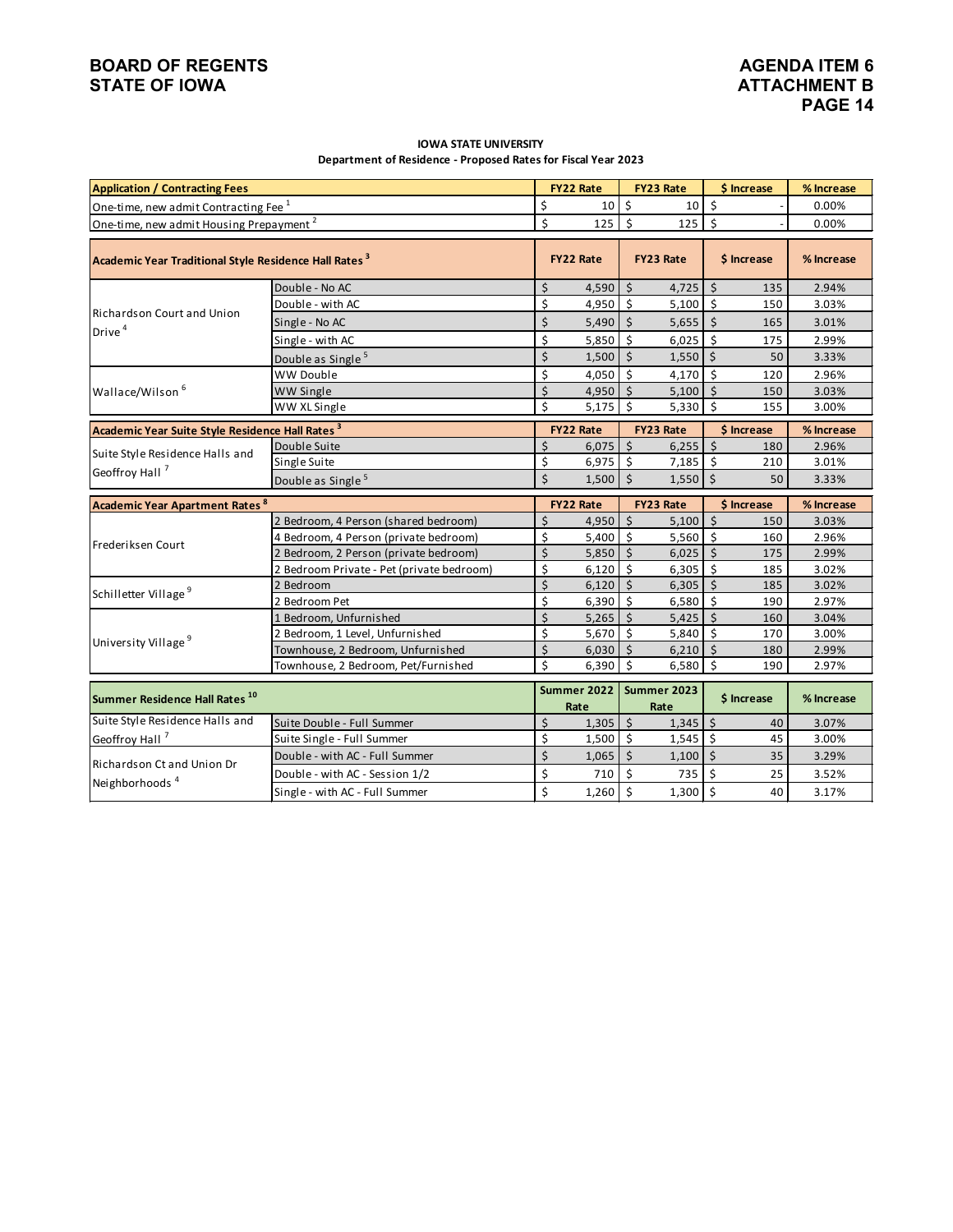## **BOARD OF REGENTS**<br> **BOARD OF REGENTS**<br> **BOARD OF IOWA**<br> **ATTACHMENT B STATE OF IOWA**

#### **IOWA STATE UNIVERSITY Department of Residence - Proposed Rates for Fiscal Year 2023**

| <b>Application / Contracting Fees</b>                             |                                           |                    | <b>FY22 Rate</b>    |                     | <b>FY23 Rate</b>      |                           | \$ Increase | % Increase |
|-------------------------------------------------------------------|-------------------------------------------|--------------------|---------------------|---------------------|-----------------------|---------------------------|-------------|------------|
| One-time, new admit Contracting Fee <sup>1</sup>                  |                                           | \$                 | 10                  | \$                  | 10                    | \$                        |             | 0.00%      |
| One-time, new admit Housing Prepayment <sup>2</sup>               |                                           | \$                 | 125                 | $\mathsf{\hat{S}}$  | 125                   | 5                         |             | 0.00%      |
|                                                                   |                                           |                    |                     |                     |                       |                           |             |            |
| Academic Year Traditional Style Residence Hall Rates <sup>3</sup> |                                           |                    | <b>FY22 Rate</b>    |                     | <b>FY23 Rate</b>      |                           | \$ Increase | % Increase |
|                                                                   | Double - No AC                            | \$                 | 4,590               | $\mathsf{\dot{S}}$  | $4,725$ \$            |                           | 135         | 2.94%      |
|                                                                   | Double - with AC                          | \$                 | 4,950               | $\ddot{\mathsf{s}}$ | 5,100                 | 5                         | 150         | 3.03%      |
| Richardson Court and Union                                        | Single - No AC                            | \$                 | 5,490               | $\zeta$             | $5,655$ \$            |                           | 165         | 3.01%      |
| Drive <sup>4</sup>                                                | Single - with AC                          | \$                 | 5,850               | Ŝ.                  | 6,025                 | Ś                         | 175         | 2.99%      |
|                                                                   | Double as Single <sup>5</sup>             | \$                 | 1,500               | $\zeta$             | 1,550                 | $\overline{\mathsf{s}}$   | 50          | 3.33%      |
|                                                                   | WW Double                                 | \$                 | 4,050               | $\zeta$             | 4,170                 | $\ddot{\mathsf{s}}$       | 120         | 2.96%      |
| Wallace/Wilson <sup>6</sup>                                       | WW Single                                 | $\mathsf{\dot{S}}$ | 4,950               | $\mathsf{S}$        | 5,100                 | I \$                      | 150         | 3.03%      |
|                                                                   | WW XL Single                              | \$                 | 5,175               | $\mathsf{S}$        | 5,330                 | $\ddot{\mathsf{s}}$       | 155         | 3.00%      |
| Academic Year Suite Style Residence Hall Rates <sup>3</sup>       |                                           |                    | <b>FY22 Rate</b>    |                     | <b>FY23 Rate</b>      |                           | \$ Increase | % Increase |
|                                                                   | Double Suite                              | \$                 | $6,075$ \$          |                     | $6,255$ \$            |                           | 180         | 2.96%      |
| Suite Style Residence Halls and                                   | Single Suite                              | \$                 | $6,975$ \$          |                     | $7,185$ \$            |                           | 210         | 3.01%      |
| Geoffroy Hall <sup>7</sup>                                        | Double as Single <sup>5</sup>             | \$                 | $1,500$ \$          |                     | $1,550$ \$            |                           | 50          | 3.33%      |
|                                                                   |                                           |                    |                     |                     |                       |                           |             |            |
|                                                                   |                                           |                    | <b>FY22 Rate</b>    |                     | <b>FY23 Rate</b>      |                           | \$ Increase | % Increase |
| <b>Academic Year Apartment Rates 8</b>                            | 2 Bedroom, 4 Person (shared bedroom)      | \$                 | 4,950               | $\zeta$             | 5,100                 | I\$                       | 150         | 3.03%      |
|                                                                   | 4 Bedroom, 4 Person (private bedroom)     | \$                 | 5,400               | - \$                | 5,560                 | l \$                      | 160         | 2.96%      |
| Frederiksen Court                                                 | 2 Bedroom, 2 Person (private bedroom)     | $\zeta$            | $5,850$ \$          |                     | $6,025$ \$            |                           | 175         | 2.99%      |
|                                                                   | 2 Bedroom Private - Pet (private bedroom) | \$                 | 6,120               | $\mathsf{S}$        | $6,305$ $\frac{1}{5}$ |                           | 185         | 3.02%      |
|                                                                   | 2 Bedroom                                 | $\zeta$            | 6,120               | \$                  | $6,305$ \$            |                           | 185         | 3.02%      |
| Schilletter Village <sup>9</sup>                                  | 2 Bedroom Pet                             | \$                 | 6,390               | $\mathsf{\hat{S}}$  | 6,580                 | $\mathsf{\hat{S}}$        | 190         | 2.97%      |
|                                                                   | 1 Bedroom, Unfurnished                    | Ś                  | 5,265               | $\ddot{\varsigma}$  | $5,425$ \$            |                           | 160         | 3.04%      |
|                                                                   | 2 Bedroom, 1 Level, Unfurnished           | \$                 | 5,670               | Ś                   | 5,840                 | $\boldsymbol{\mathsf{S}}$ | 170         | 3.00%      |
| University Village <sup>9</sup>                                   | Townhouse, 2 Bedroom, Unfurnished         | $\overline{\xi}$   | 6,030               | $\zeta$             | 6,210                 | $\zeta$                   | 180         | 2.99%      |
|                                                                   | Townhouse, 2 Bedroom, Pet/Furnished       | \$                 | 6,390               | $\zeta$             | 6,580                 | $\zeta$                   | 190         | 2.97%      |
| Summer Residence Hall Rates <sup>10</sup>                         |                                           |                    | Summer 2022<br>Rate |                     | Summer 2023<br>Rate   |                           | \$ Increase | % Increase |
| Suite Style Residence Halls and                                   | Suite Double - Full Summer                | $\mathsf{\dot{S}}$ | 1,305               | $\mathsf{S}$        | $1,345$ \$            |                           | 40          | 3.07%      |
| Geoffroy Hall <sup>7</sup>                                        | Suite Single - Full Summer                | \$                 | 1,500               | $\mathsf{S}$        | $1,545$ \$            |                           | 45          | 3.00%      |
|                                                                   | Double - with AC - Full Summer            | \$                 | 1,065               | $\zeta$             | 1,100                 | \$ ا                      | 35          | 3.29%      |
| Richardson Ct and Union Dr<br>Neighborhoods <sup>4</sup>          | Double - with AC - Session 1/2            | \$                 | 710                 | \$                  | 735                   | \$                        | 25          | 3.52%      |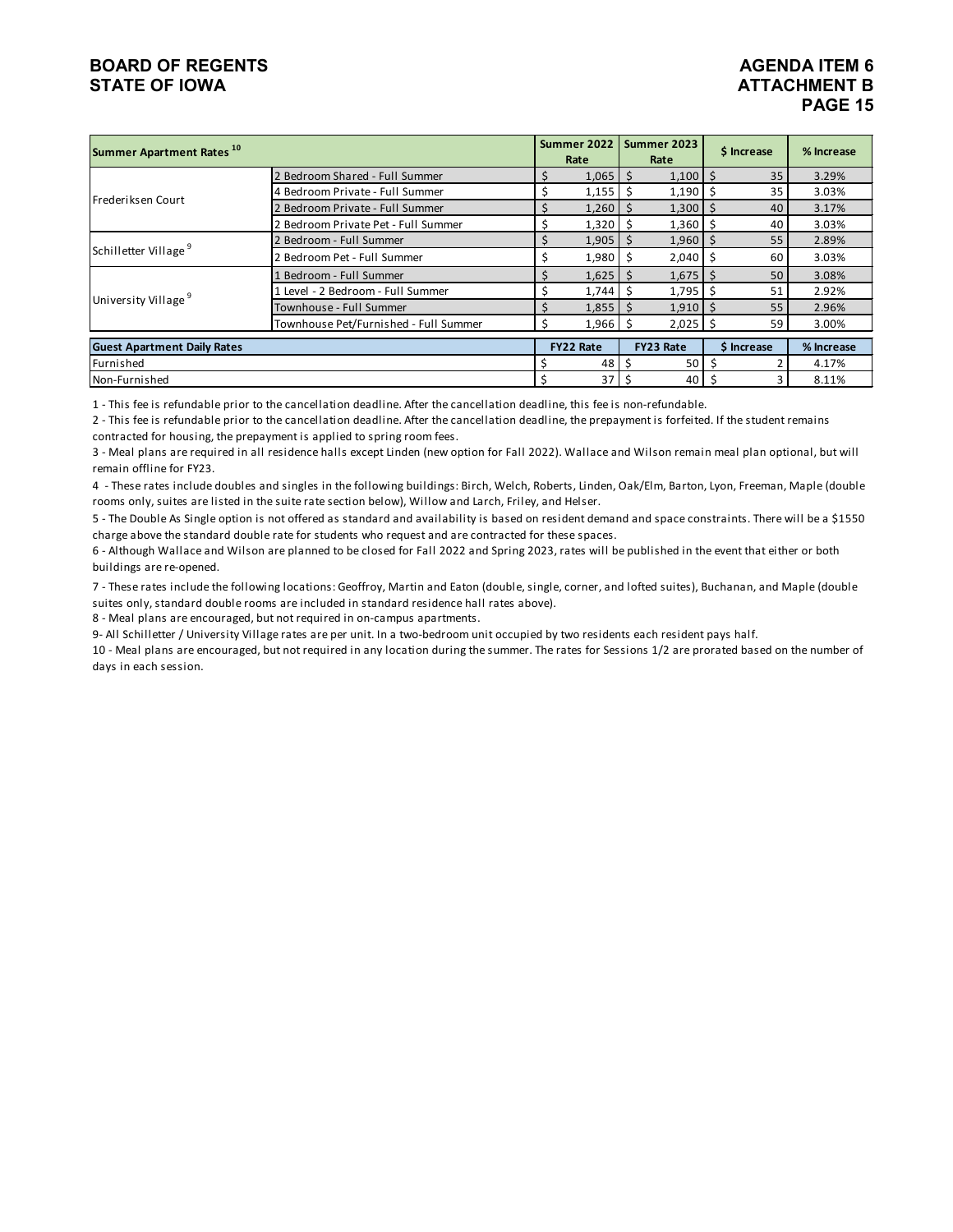#### **BOARD OF REGENTS**<br> **BOARD OF REGENTS**<br> **BOARD OF IOWA**<br> **ATTACHMENT B STATE OF IOWA**

# **PAGE 15**

| Summer Apartment Rates <sup>10</sup> |                                       | Summer 2022<br>Rate | Summer 2023<br>Rate |              |    | \$ Increase | % Increase |
|--------------------------------------|---------------------------------------|---------------------|---------------------|--------------|----|-------------|------------|
|                                      | 2 Bedroom Shared - Full Summer        | 1,065               | S                   | 1,100        | -S | 35          | 3.29%      |
| Frederiksen Court                    | 4 Bedroom Private - Full Summer       | 1,155               | -Ś                  | $1,190$ \$   |    | 35          | 3.03%      |
|                                      | 2 Bedroom Private - Full Summer       | $1,260$   \$        |                     | $1,300$   \$ |    | 40          | 3.17%      |
|                                      | 2 Bedroom Private Pet - Full Summer   | 1,320               | - Ś                 | $1,360$   \$ |    | 40          | 3.03%      |
|                                      | 2 Bedroom - Full Summer               | $1,905$   \$        |                     | $1,960$   \$ |    | 55          | 2.89%      |
| Schilletter Village <sup>9</sup>     | 2 Bedroom Pet - Full Summer           | 1,980               | Ŝ                   | 2,040        | Ŝ  | 60          | 3.03%      |
|                                      | Bedroom - Full Summer                 | 1,625               |                     | 1,675        | -S | 50          | 3.08%      |
| University Village <sup>9</sup>      | 1 Level - 2 Bedroom - Full Summer     | 1,744               |                     | 1,795        | S  | 51          | 2.92%      |
|                                      | Townhouse - Full Summer               | $1,855$ \$          |                     | $1,910$   \$ |    | 55          | 2.96%      |
|                                      | Townhouse Pet/Furnished - Full Summer | $1,966$ \$          |                     | $2,025$ \$   |    | 59          | 3.00%      |
| <b>Guest Apartment Daily Rates</b>   |                                       | <b>FY22 Rate</b>    | FY23 Rate           |              |    | \$ Increase | % Increase |
| Furnished                            |                                       | 48                  | S                   | 50           |    |             | 4.17%      |
| Non-Furnished                        |                                       | 37                  | -S                  | 40           |    |             | 8.11%      |

1 - This fee is refundable prior to the cancellation deadline. After the cancellation deadline, this fee is non-refundable.

2 - This fee is refundable prior to the cancellation deadline. After the cancellation deadline, the prepayment is forfeited. If the student remains contracted for housing, the prepayment is applied to spring room fees.

3 - Meal plans are required in all residence halls except Linden (new option for Fall 2022). Wallace and Wilson remain meal plan optional, but will remain offline for FY23.

4 - These rates include doubles and singles in the following buildings: Birch, Welch, Roberts, Linden, Oak/Elm, Barton, Lyon, Freeman, Maple (double rooms only, suites are listed in the suite rate section below), Willow and Larch, Friley, and Helser.

5 - The Double As Single option is not offered as standard and availability is based on resident demand and space constraints. There will be a \$1550 charge above the standard double rate for students who request and are contracted for these spaces.

6 - Although Wallace and Wilson are planned to be closed for Fall 2022 and Spring 2023, rates will be published in the event that either or both buildings are re-opened.

7 - These rates include the following locations: Geoffroy, Martin and Eaton (double, single, corner, and lofted suites), Buchanan, and Maple (double suites only, standard double rooms are included in standard residence hall rates above).

8 - Meal plans are encouraged, but not required in on-campus apartments.

9- All Schilletter / University Village rates are per unit. In a two-bedroom unit occupied by two residents each resident pays half.

10 - Meal plans are encouraged, but not required in any location during the summer. The rates for Sessions 1/2 are prorated based on the number of days in each session.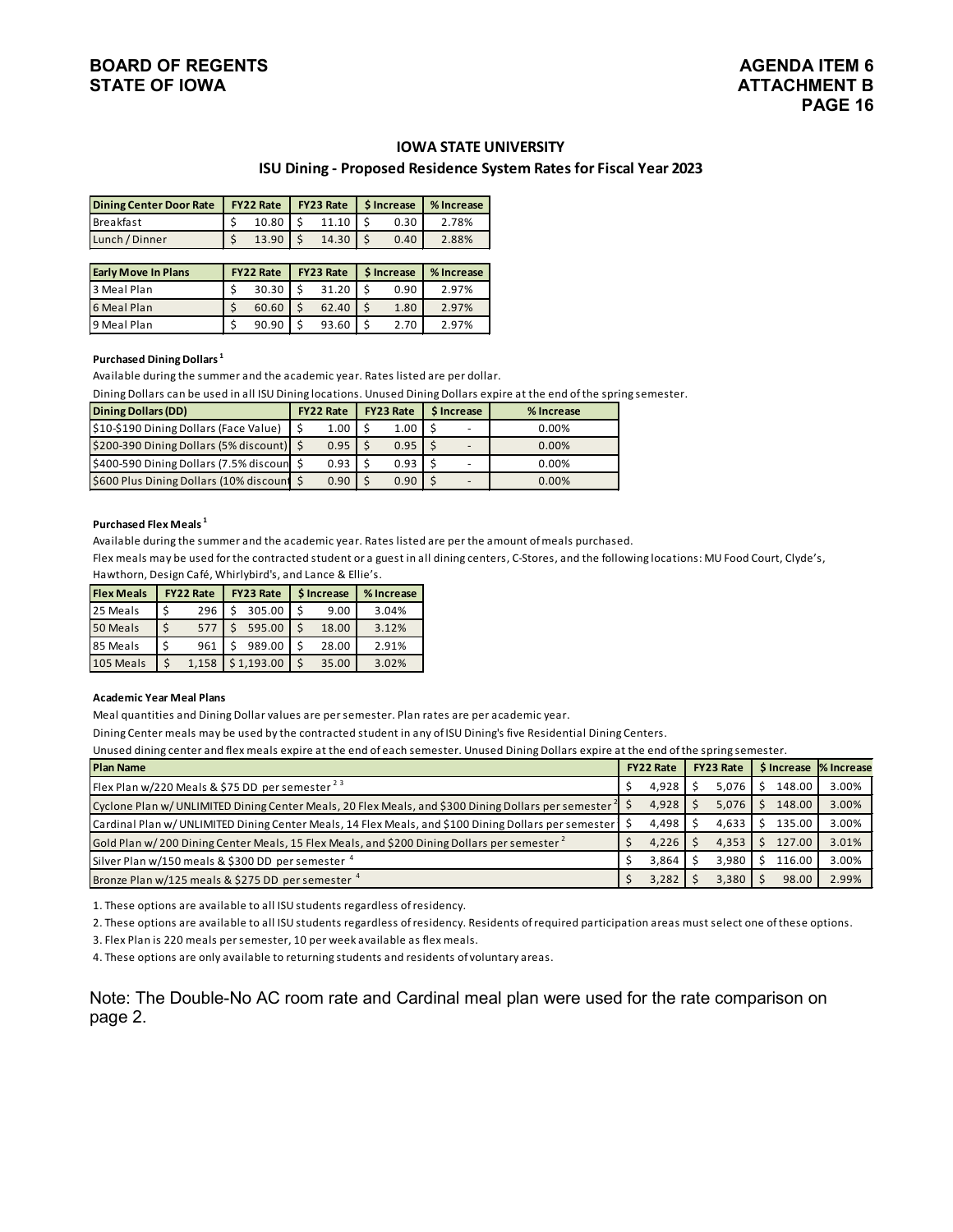#### **IOWA STATE UNIVERSITY**

#### **ISU Dining - Proposed Residence System Rates for Fiscal Year 2023**

| Dining Center Door Rate   FY22 Rate   FY23 Rate   \$ Increase |       |                           |      | Ⅰ % Increase |  |  |  |
|---------------------------------------------------------------|-------|---------------------------|------|--------------|--|--|--|
| <b>Breakfast</b>                                              |       | $10.80$   \$ $11.10$   \$ | 0.30 | 2.78%        |  |  |  |
| Lunch / Dinner                                                | 13.90 | 14.30                     | 0.40 | 2.88%        |  |  |  |

| <b>Early Move In Plans</b> | <b>FY22 Rate</b> | <b>FY23 Rate   S Increase</b> |       |  |      | % Increase |
|----------------------------|------------------|-------------------------------|-------|--|------|------------|
| 3 Meal Plan                | 30.30            |                               | 31.20 |  | 0.90 | 2.97%      |
| 6 Meal Plan                | 60.60            |                               | 62.40 |  | 1.80 | 2.97%      |
| 9 Meal Plan                | 90.90            |                               | 93.60 |  | 2.70 | 2.97%      |

#### **Purchased Dining Dollars 1**

Available during the summer and the academic year. Rates listed are per dollar.

Dining Dollars can be used in all ISU Dining locations. Unused Dining Dollars expire at the end of the spring semester.

| <b>Dining Dollars (DD)</b>                  | <b>FY22 Rate</b> | <b>FY23 Rate</b> | <b>S</b> Increase | % Increase |
|---------------------------------------------|------------------|------------------|-------------------|------------|
| \$10-\$190 Dining Dollars (Face Value)      | 1.00             | 1.00             |                   | 0.00%      |
| \$200-390 Dining Dollars (5% discount)   \$ | 0.95             | 0.95             |                   | 0.00%      |
| \$400-590 Dining Dollars (7.5% discoun      | 0.93             | 0.93             |                   | 0.00%      |
| \$600 Plus Dining Dollars (10% discount \$  | 0.90             | 0.90             |                   | 0.00%      |

#### **Purchased Flex Meals 1**

Available during the summer and the academic year. Rates listed are per the amount of meals purchased.

Flex meals may be used for the contracted student or a guest in all dining centers, C-Stores, and the following locations: MU Food Court, Clyde's, Hawthorn, Design Café, Whirlybird's, and Lance & Ellie's.

| <b>Flex Meals</b> |    | <b>FY22 Rate</b> | <b>FY23 Rate</b> | <b>S</b> Increase | % Increase |
|-------------------|----|------------------|------------------|-------------------|------------|
| 25 Meals          | -S | 296              | 305.00           | 9.00              | 3.04%      |
| 50 Meals          |    | 577              | 595.00           | 18.00             | 3.12%      |
| 85 Meals          |    | 961              | 989.00           | 28.00             | 2.91%      |
| 105 Meals         |    | 1.158            | \$1,193.00       | 35.00             | 3.02%      |

#### **Academic Year Meal Plans**

Meal quantities and Dining Dollar values are per semester. Plan rates are per academic year.

Dining Center meals may be used by the contracted student in any of ISU Dining's five Residential Dining Centers.

Unused dining center and flex meals expire at the end of each semester. Unused Dining Dollars expire at the end of the spring semester.

| <b>Plan Name</b>                                                                                                                 | <b>FY22 Rate</b> | <b>FY23 Rate</b> |        | S Increase % Increase |
|----------------------------------------------------------------------------------------------------------------------------------|------------------|------------------|--------|-----------------------|
| Flex Plan w/220 Meals & \$75 DD per semester $2^3$                                                                               | 4,928            | 5.076            | 148.00 | 3.00%                 |
| Cyclone Plan w/UNLIMITED Dining Center Meals, 20 Flex Meals, and \$300 Dining Dollars per semester $\frac{2}{3}$                 | 4,928            | 5,076            | 148.00 | 3.00%                 |
| $\blacksquare$ Cardinal Plan w/ UNLIMITED Dining Center Meals, 14 Flex Meals, and \$100 Dining Dollars per semester $\vert\,$ \$ | 4.498            | 4.633            | 135.00 | 3.00%                 |
| Gold Plan w/200 Dining Center Meals, 15 Flex Meals, and \$200 Dining Dollars per semester <sup>2</sup>                           | 4,226            | 4,353            | 127.00 | 3.01%                 |
| Silver Plan w/150 meals & \$300 DD per semester 4                                                                                | 3.864            | 3.980            | 116.00 | 3.00%                 |
| Bronze Plan w/125 meals & \$275 DD per semester 4                                                                                | 3,282            | 3.380            | 98.00  | 2.99%                 |

1. These options are available to all ISU students regardless of residency.

2. These options are available to all ISU students regardless of residency. Residents of required participation areas must select one of these options.

3. Flex Plan is 220 meals per semester, 10 per week available as flex meals.

4. These options are only available to returning students and residents of voluntary areas.

Note: The Double-No AC room rate and Cardinal meal plan were used for the rate comparison on page 2.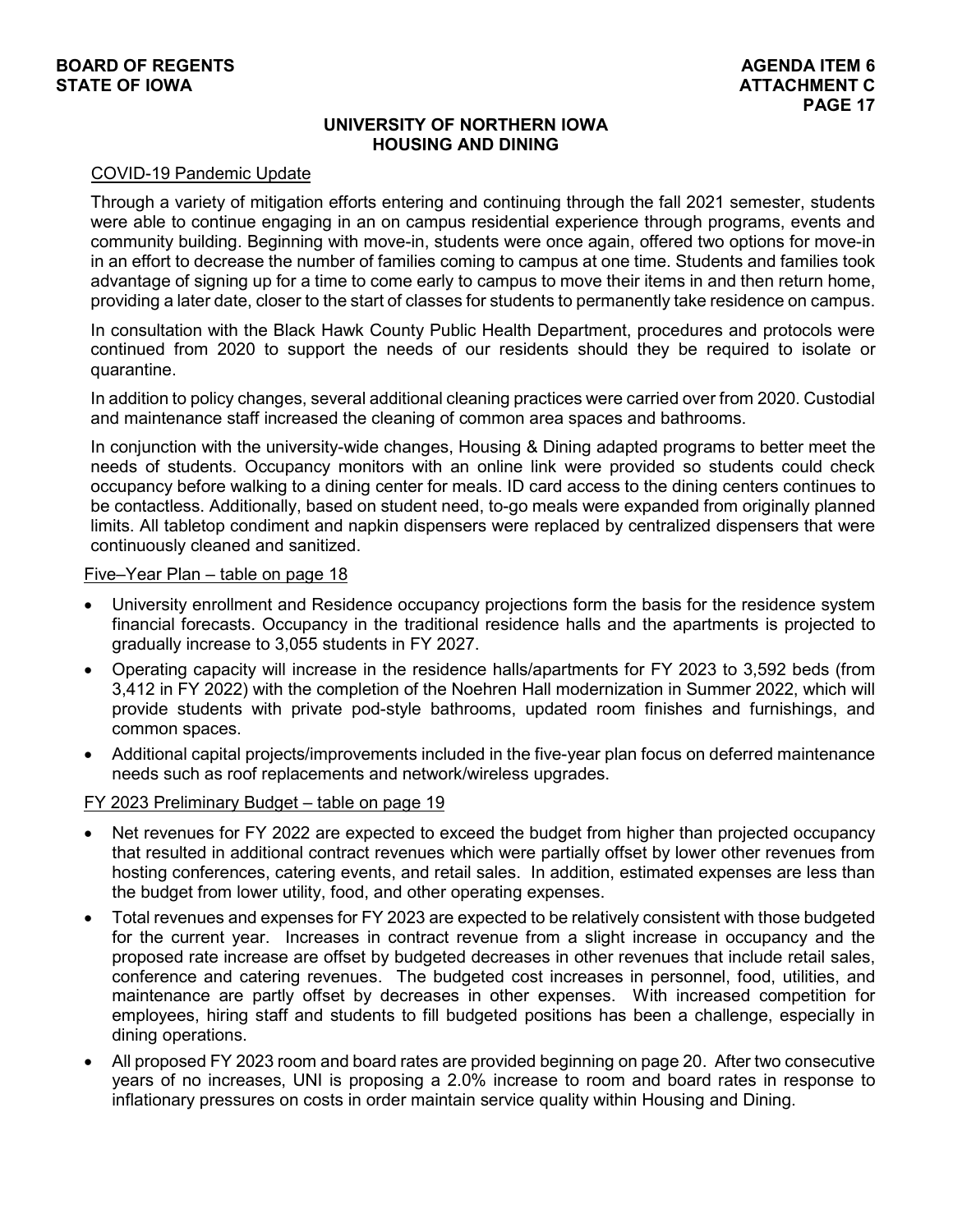# **UNIVERSITY OF NORTHERN IOWA HOUSING AND DINING**

#### COVID-19 Pandemic Update

Through a variety of mitigation efforts entering and continuing through the fall 2021 semester, students were able to continue engaging in an on campus residential experience through programs, events and community building. Beginning with move-in, students were once again, offered two options for move-in in an effort to decrease the number of families coming to campus at one time. Students and families took advantage of signing up for a time to come early to campus to move their items in and then return home, providing a later date, closer to the start of classes for students to permanently take residence on campus.

In consultation with the Black Hawk County Public Health Department, procedures and protocols were continued from 2020 to support the needs of our residents should they be required to isolate or quarantine.

In addition to policy changes, several additional cleaning practices were carried over from 2020. Custodial and maintenance staff increased the cleaning of common area spaces and bathrooms.

In conjunction with the university-wide changes, Housing & Dining adapted programs to better meet the needs of students. Occupancy monitors with an online link were provided so students could check occupancy before walking to a dining center for meals. ID card access to the dining centers continues to be contactless. Additionally, based on student need, to-go meals were expanded from originally planned limits. All tabletop condiment and napkin dispensers were replaced by centralized dispensers that were continuously cleaned and sanitized.

#### Five–Year Plan – table on page 18

- University enrollment and Residence occupancy projections form the basis for the residence system financial forecasts. Occupancy in the traditional residence halls and the apartments is projected to gradually increase to 3,055 students in FY 2027.
- Operating capacity will increase in the residence halls/apartments for FY 2023 to 3,592 beds (from 3,412 in FY 2022) with the completion of the Noehren Hall modernization in Summer 2022, which will provide students with private pod-style bathrooms, updated room finishes and furnishings, and common spaces.
- Additional capital projects/improvements included in the five-year plan focus on deferred maintenance needs such as roof replacements and network/wireless upgrades.

#### FY 2023 Preliminary Budget – table on page 19

- Net revenues for FY 2022 are expected to exceed the budget from higher than projected occupancy that resulted in additional contract revenues which were partially offset by lower other revenues from hosting conferences, catering events, and retail sales. In addition, estimated expenses are less than the budget from lower utility, food, and other operating expenses.
- Total revenues and expenses for FY 2023 are expected to be relatively consistent with those budgeted for the current year. Increases in contract revenue from a slight increase in occupancy and the proposed rate increase are offset by budgeted decreases in other revenues that include retail sales, conference and catering revenues. The budgeted cost increases in personnel, food, utilities, and maintenance are partly offset by decreases in other expenses. With increased competition for employees, hiring staff and students to fill budgeted positions has been a challenge, especially in dining operations.
- All proposed FY 2023 room and board rates are provided beginning on page 20. After two consecutive years of no increases, UNI is proposing a 2.0% increase to room and board rates in response to inflationary pressures on costs in order maintain service quality within Housing and Dining.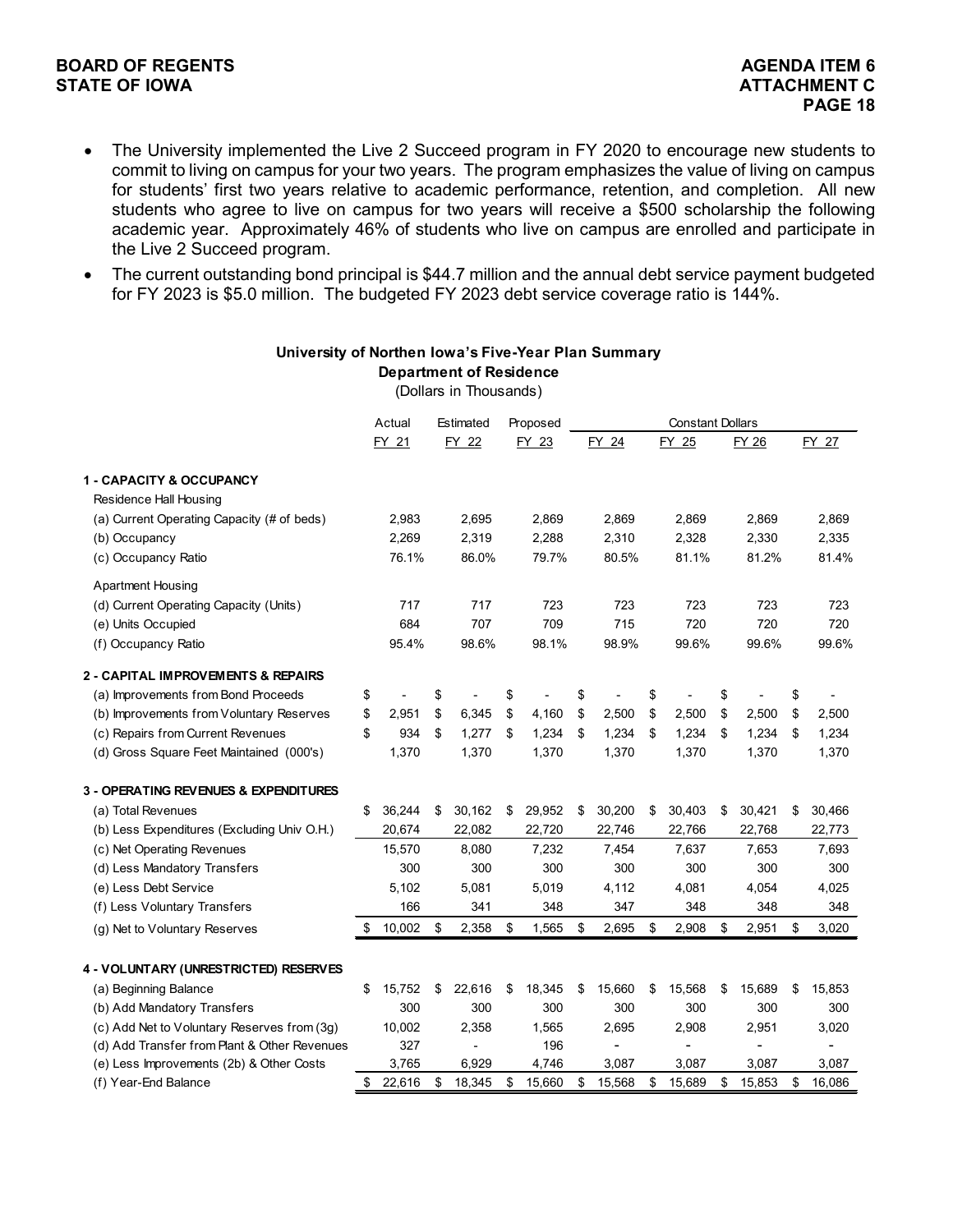#### **BOARD OF REGENTS**<br> **BOARD OF REGENTS**<br> **BOARD OF IOWA**<br> **ATTACHMENT C STATE OF IOWA**

- The University implemented the Live 2 Succeed program in FY 2020 to encourage new students to commit to living on campus for your two years. The program emphasizes the value of living on campus for students' first two years relative to academic performance, retention, and completion. All new students who agree to live on campus for two years will receive a \$500 scholarship the following academic year. Approximately 46% of students who live on campus are enrolled and participate in the Live 2 Succeed program.
- The current outstanding bond principal is \$44.7 million and the annual debt service payment budgeted for FY 2023 is \$5.0 million. The budgeted FY 2023 debt service coverage ratio is 144%.

| (Dollars in Thousands)                       |    |        |    |           |    |          |    |        |    |                          |    |                          |    |                |
|----------------------------------------------|----|--------|----|-----------|----|----------|----|--------|----|--------------------------|----|--------------------------|----|----------------|
|                                              |    | Actual |    | Estimated |    | Proposed |    |        |    | <b>Constant Dollars</b>  |    |                          |    |                |
|                                              |    | FY 21  |    | FY 22     |    | FY 23    |    | FY 24  |    | FY 25                    |    | FY 26                    |    | FY 27          |
| 1 - CAPACITY & OCCUPANCY                     |    |        |    |           |    |          |    |        |    |                          |    |                          |    |                |
| Residence Hall Housing                       |    |        |    |           |    |          |    |        |    |                          |    |                          |    |                |
| (a) Current Operating Capacity (# of beds)   |    | 2,983  |    | 2,695     |    | 2,869    |    | 2,869  |    | 2,869                    |    | 2,869                    |    | 2,869          |
| (b) Occupancy                                |    | 2,269  |    | 2,319     |    | 2,288    |    | 2,310  |    | 2,328                    |    | 2,330                    |    | 2,335          |
| (c) Occupancy Ratio                          |    | 76.1%  |    | 86.0%     |    | 79.7%    |    | 80.5%  |    | 81.1%                    |    | 81.2%                    |    | 81.4%          |
| <b>Apartment Housing</b>                     |    |        |    |           |    |          |    |        |    |                          |    |                          |    |                |
| (d) Current Operating Capacity (Units)       |    | 717    |    | 717       |    | 723      |    | 723    |    | 723                      |    | 723                      |    | 723            |
| (e) Units Occupied                           |    | 684    |    | 707       |    | 709      |    | 715    |    | 720                      |    | 720                      |    | 720            |
| (f) Occupancy Ratio                          |    | 95.4%  |    | 98.6%     |    | 98.1%    |    | 98.9%  |    | 99.6%                    |    | 99.6%                    |    | 99.6%          |
| 2 - CAPITAL IMPROVEMENTS & REPAIRS           |    |        |    |           |    |          |    |        |    |                          |    |                          |    |                |
| (a) Improvements from Bond Proceeds          | \$ |        | \$ |           | \$ |          | \$ |        | \$ |                          | \$ |                          | \$ |                |
| (b) Improvements from Voluntary Reserves     | \$ | 2,951  | \$ | 6,345     | \$ | 4,160    | \$ | 2,500  | \$ | 2,500                    | \$ | 2,500                    | \$ | 2,500          |
| (c) Repairs from Current Revenues            | \$ | 934    | \$ | 1,277     | \$ | 1,234    | \$ | 1,234  | \$ | 1,234                    | \$ | 1,234                    | \$ | 1,234          |
| (d) Gross Square Feet Maintained (000's)     |    | 1,370  |    | 1,370     |    | 1,370    |    | 1,370  |    | 1,370                    |    | 1,370                    |    | 1,370          |
| 3 - OPERATING REVENUES & EXPENDITURES        |    |        |    |           |    |          |    |        |    |                          |    |                          |    |                |
| (a) Total Revenues                           | \$ | 36,244 | \$ | 30,162    | \$ | 29,952   | \$ | 30,200 | \$ | 30,403                   | \$ | 30,421                   | \$ | 30,466         |
| (b) Less Expenditures (Excluding Univ O.H.)  |    | 20,674 |    | 22,082    |    | 22,720   |    | 22,746 |    | 22,766                   |    | 22,768                   |    | 22,773         |
| (c) Net Operating Revenues                   |    | 15,570 |    | 8,080     |    | 7,232    |    | 7,454  |    | 7,637                    |    | 7,653                    |    | 7,693          |
| (d) Less Mandatory Transfers                 |    | 300    |    | 300       |    | 300      |    | 300    |    | 300                      |    | 300                      |    | 300            |
| (e) Less Debt Service                        |    | 5,102  |    | 5,081     |    | 5,019    |    | 4,112  |    | 4,081                    |    | 4,054                    |    | 4,025          |
| (f) Less Voluntary Transfers                 |    | 166    |    | 341       |    | 348      |    | 347    |    | 348                      |    | 348                      |    | 348            |
| (g) Net to Voluntary Reserves                | \$ | 10,002 | \$ | 2,358     | \$ | 1,565    | \$ | 2,695  | \$ | 2,908                    | \$ | 2,951                    | \$ | 3,020          |
|                                              |    |        |    |           |    |          |    |        |    |                          |    |                          |    |                |
| 4 - VOLUNTARY (UNRESTRICTED) RESERVES        |    |        |    |           |    |          |    |        |    |                          |    |                          |    |                |
| (a) Beginning Balance                        | \$ | 15,752 | \$ | 22,616    | \$ | 18,345   | \$ | 15,660 | \$ | 15,568                   | \$ | 15,689                   | \$ | 15,853         |
| (b) Add Mandatory Transfers                  |    | 300    |    | 300       |    | 300      |    | 300    |    | 300                      |    | 300                      |    | 300            |
| (c) Add Net to Voluntary Reserves from (3g)  |    | 10,002 |    | 2,358     |    | 1,565    |    | 2,695  |    | 2,908                    |    | 2,951                    |    | 3,020          |
| (d) Add Transfer from Plant & Other Revenues |    | 327    |    | ٠         |    | 196      |    | -      |    | $\overline{\phantom{0}}$ |    | $\overline{\phantom{0}}$ |    | $\overline{a}$ |
| (e) Less Improvements (2b) & Other Costs     |    | 3,765  |    | 6,929     |    | 4,746    |    | 3,087  |    | 3,087                    |    | 3,087                    |    | 3,087          |
| (f) Year-End Balance                         | \$ | 22,616 | \$ | 18,345    | \$ | 15,660   | \$ | 15,568 | \$ | 15,689                   | \$ | 15,853                   | \$ | 16,086         |

#### **University of Northen Iowa's Five-Year Plan Summary Department of Residence**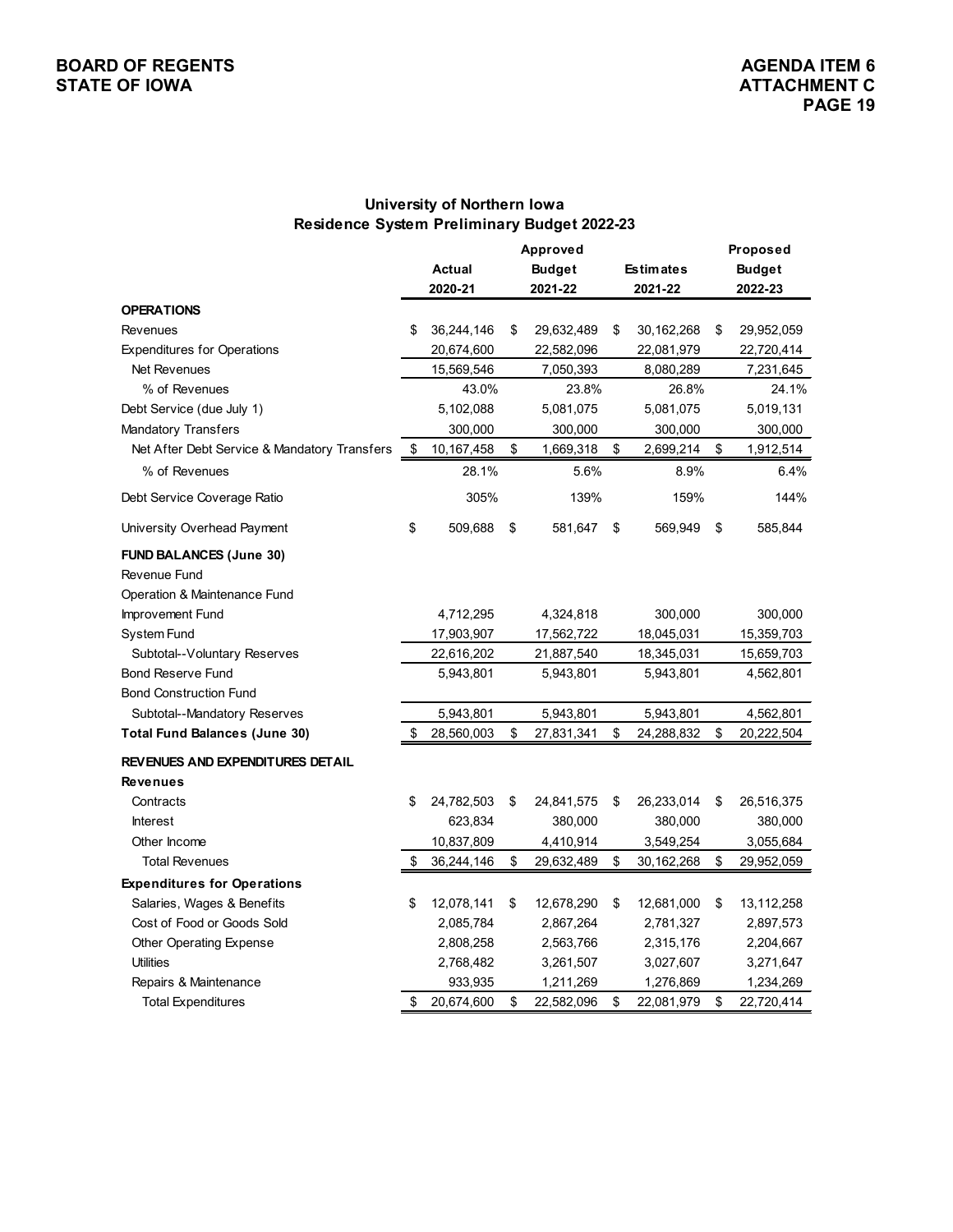## **University of Northern Iowa Residence System Preliminary Budget 2022-23**

|                                              | Approved |               |    |               |    |                  | Proposed |               |  |  |  |
|----------------------------------------------|----------|---------------|----|---------------|----|------------------|----------|---------------|--|--|--|
|                                              |          | <b>Actual</b> |    | <b>Budget</b> |    | <b>Estimates</b> |          | <b>Budget</b> |  |  |  |
|                                              |          | 2020-21       |    | 2021-22       |    | 2021-22          |          | 2022-23       |  |  |  |
| <b>OPERATIONS</b>                            |          |               |    |               |    |                  |          |               |  |  |  |
| Revenues                                     | \$       | 36,244,146    | \$ | 29,632,489    | \$ | 30,162,268       | \$       | 29,952,059    |  |  |  |
| <b>Expenditures for Operations</b>           |          | 20,674,600    |    | 22,582,096    |    | 22,081,979       |          | 22,720,414    |  |  |  |
| Net Revenues                                 |          | 15,569,546    |    | 7,050,393     |    | 8,080,289        |          | 7,231,645     |  |  |  |
| % of Revenues                                |          | 43.0%         |    | 23.8%         |    | 26.8%            |          | 24.1%         |  |  |  |
| Debt Service (due July 1)                    |          | 5,102,088     |    | 5,081,075     |    | 5,081,075        |          | 5,019,131     |  |  |  |
| Mandatory Transfers                          |          | 300,000       |    | 300,000       |    | 300,000          |          | 300,000       |  |  |  |
| Net After Debt Service & Mandatory Transfers | \$       | 10,167,458    | \$ | 1,669,318     | \$ | 2,699,214        | \$       | 1,912,514     |  |  |  |
| % of Revenues                                |          | 28.1%         |    | 5.6%          |    | 8.9%             |          | 6.4%          |  |  |  |
| Debt Service Coverage Ratio                  |          | 305%          |    | 139%          |    | 159%             |          | 144%          |  |  |  |
| University Overhead Payment                  | \$       | 509,688       | \$ | 581,647       | \$ | 569,949          | \$       | 585,844       |  |  |  |
| <b>FUND BALANCES (June 30)</b>               |          |               |    |               |    |                  |          |               |  |  |  |
| Revenue Fund                                 |          |               |    |               |    |                  |          |               |  |  |  |
| Operation & Maintenance Fund                 |          |               |    |               |    |                  |          |               |  |  |  |
| Improvement Fund                             |          | 4,712,295     |    | 4,324,818     |    | 300,000          |          | 300,000       |  |  |  |
| System Fund                                  |          | 17,903,907    |    | 17,562,722    |    | 18,045,031       |          | 15,359,703    |  |  |  |
| Subtotal--Voluntary Reserves                 |          | 22,616,202    |    | 21,887,540    |    | 18,345,031       |          | 15,659,703    |  |  |  |
| <b>Bond Reserve Fund</b>                     |          | 5,943,801     |    | 5,943,801     |    | 5,943,801        |          | 4,562,801     |  |  |  |
| <b>Bond Construction Fund</b>                |          |               |    |               |    |                  |          |               |  |  |  |
| Subtotal--Mandatory Reserves                 |          | 5,943,801     |    | 5,943,801     |    | 5,943,801        |          | 4,562,801     |  |  |  |
| <b>Total Fund Balances (June 30)</b>         | \$       | 28,560,003    | \$ | 27,831,341    | \$ | 24,288,832       | \$       | 20,222,504    |  |  |  |
| <b>REVENUES AND EXPENDITURES DETAIL</b>      |          |               |    |               |    |                  |          |               |  |  |  |
| <b>Revenues</b>                              |          |               |    |               |    |                  |          |               |  |  |  |
| Contracts                                    | \$       | 24,782,503    | \$ | 24,841,575    | \$ | 26,233,014       | \$       | 26,516,375    |  |  |  |
| <b>Interest</b>                              |          | 623,834       |    | 380,000       |    | 380,000          |          | 380,000       |  |  |  |
| Other Income                                 |          | 10,837,809    |    | 4,410,914     |    | 3,549,254        |          | 3,055,684     |  |  |  |
| <b>Total Revenues</b>                        | \$       | 36,244,146    | \$ | 29,632,489    | \$ | 30,162,268       | \$       | 29,952,059    |  |  |  |
| <b>Expenditures for Operations</b>           |          |               |    |               |    |                  |          |               |  |  |  |
| Salaries, Wages & Benefits                   | \$       | 12,078,141    | \$ | 12,678,290    | \$ | 12,681,000       | \$       | 13,112,258    |  |  |  |
| Cost of Food or Goods Sold                   |          | 2,085,784     |    | 2,867,264     |    | 2,781,327        |          | 2,897,573     |  |  |  |
| Other Operating Expense                      |          | 2,808,258     |    | 2,563,766     |    | 2,315,176        |          | 2,204,667     |  |  |  |
| <b>Utilities</b>                             |          | 2,768,482     |    | 3,261,507     |    | 3,027,607        |          | 3,271,647     |  |  |  |
| Repairs & Maintenance                        |          | 933,935       |    | 1,211,269     |    | 1,276,869        |          | 1,234,269     |  |  |  |
| <b>Total Expenditures</b>                    | \$       | 20,674,600    | \$ | 22,582,096    | \$ | 22,081,979       | \$       | 22,720,414    |  |  |  |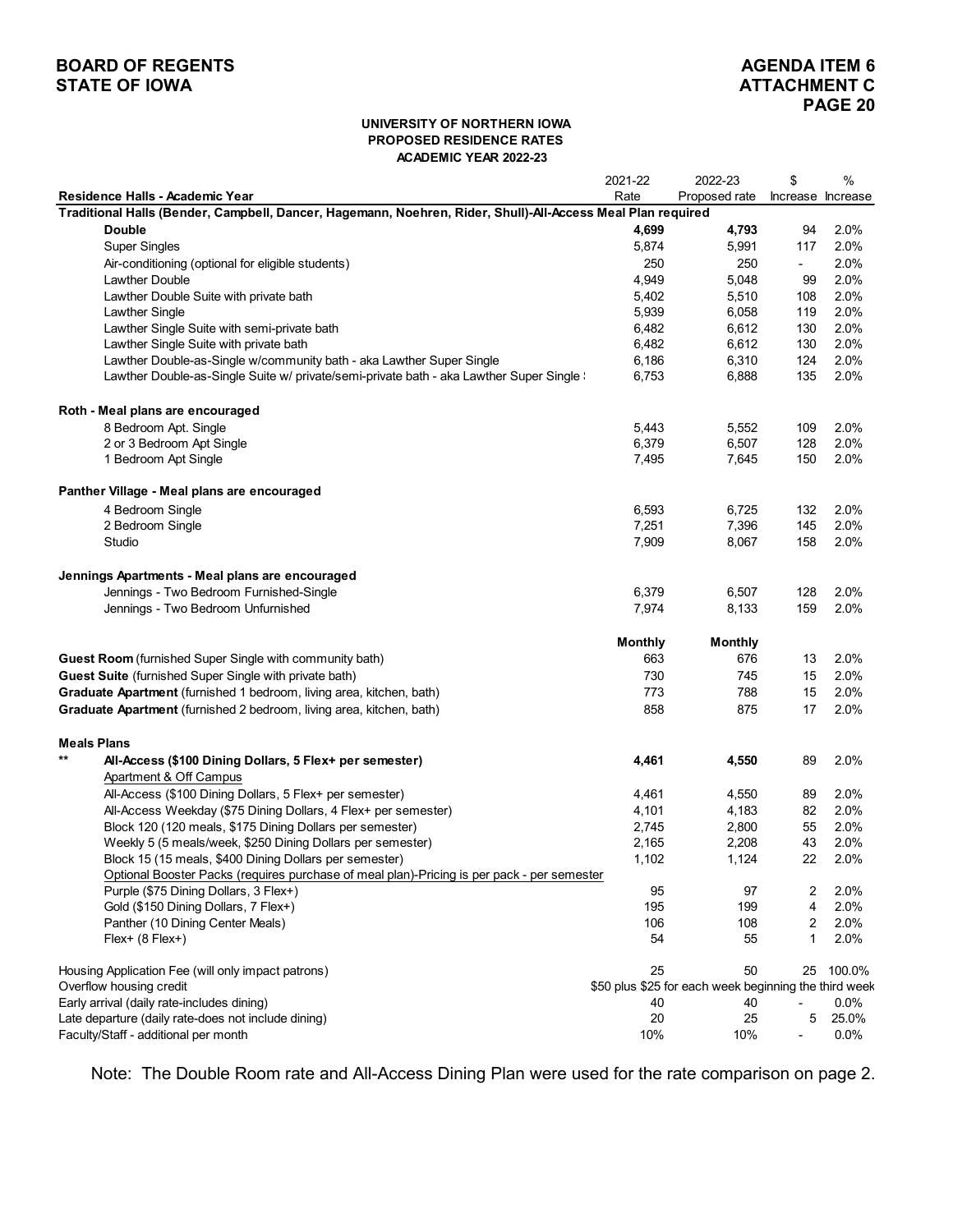## **BOARD OF REGENTS**<br> **BOARD OF REGENTS**<br> **BOARD OF IOWA**<br> **ATTACHMENT C STATE OF IOWA**

#### **UNIVERSITY OF NORTHERN IOWA PROPOSED RESIDENCE RATES ACADEMIC YEAR 2022-23**

|                                                                                                             | 2021-22        | 2022-23                                               | \$                       | $\%$   |
|-------------------------------------------------------------------------------------------------------------|----------------|-------------------------------------------------------|--------------------------|--------|
| Residence Halls - Academic Year                                                                             | Rate           | Proposed rate                                         | Increase Increase        |        |
| Traditional Halls (Bender, Campbell, Dancer, Hagemann, Noehren, Rider, Shull)-All-Access Meal Plan required |                |                                                       |                          |        |
| <b>Double</b>                                                                                               | 4,699          | 4,793                                                 | 94                       | 2.0%   |
| <b>Super Singles</b>                                                                                        | 5,874          | 5,991                                                 | 117                      | 2.0%   |
| Air-conditioning (optional for eligible students)                                                           | 250            | 250                                                   | $\overline{\phantom{0}}$ | 2.0%   |
| <b>Lawther Double</b>                                                                                       | 4,949          | 5,048                                                 | 99                       | 2.0%   |
| Lawther Double Suite with private bath                                                                      | 5,402          | 5,510                                                 | 108                      | 2.0%   |
| <b>Lawther Single</b>                                                                                       | 5,939          | 6,058                                                 | 119                      | 2.0%   |
| Lawther Single Suite with semi-private bath                                                                 | 6,482          | 6,612                                                 | 130                      | 2.0%   |
| Lawther Single Suite with private bath                                                                      | 6,482          | 6,612                                                 | 130                      | 2.0%   |
| Lawther Double-as-Single w/community bath - aka Lawther Super Single                                        | 6,186          | 6,310                                                 | 124                      | 2.0%   |
| Lawther Double-as-Single Suite w/ private/semi-private bath - aka Lawther Super Single \                    | 6,753          | 6,888                                                 | 135                      | 2.0%   |
| Roth - Meal plans are encouraged                                                                            |                |                                                       |                          |        |
| 8 Bedroom Apt. Single                                                                                       | 5,443          | 5,552                                                 | 109                      | 2.0%   |
| 2 or 3 Bedroom Apt Single                                                                                   | 6,379          | 6,507                                                 | 128                      | 2.0%   |
| 1 Bedroom Apt Single                                                                                        | 7,495          | 7,645                                                 | 150                      | 2.0%   |
| Panther Village - Meal plans are encouraged                                                                 |                |                                                       |                          |        |
| 4 Bedroom Single                                                                                            | 6,593          | 6,725                                                 | 132                      | 2.0%   |
| 2 Bedroom Single                                                                                            | 7,251          | 7,396                                                 | 145                      | 2.0%   |
| Studio                                                                                                      | 7,909          | 8,067                                                 | 158                      | 2.0%   |
| Jennings Apartments - Meal plans are encouraged                                                             |                |                                                       |                          |        |
| Jennings - Two Bedroom Furnished-Single                                                                     | 6,379          | 6,507                                                 | 128                      | 2.0%   |
| Jennings - Two Bedroom Unfurnished                                                                          | 7,974          | 8,133                                                 | 159                      | 2.0%   |
|                                                                                                             |                |                                                       |                          |        |
|                                                                                                             | <b>Monthly</b> | <b>Monthly</b>                                        |                          |        |
| <b>Guest Room</b> (furnished Super Single with community bath)                                              | 663            | 676                                                   | 13                       | 2.0%   |
| Guest Suite (furnished Super Single with private bath)                                                      | 730            | 745                                                   | 15                       | 2.0%   |
| Graduate Apartment (furnished 1 bedroom, living area, kitchen, bath)                                        | 773            | 788                                                   | 15                       | 2.0%   |
| Graduate Apartment (furnished 2 bedroom, living area, kitchen, bath)                                        | 858            | 875                                                   | 17                       | 2.0%   |
|                                                                                                             |                |                                                       |                          |        |
| <b>Meals Plans</b>                                                                                          |                |                                                       |                          |        |
| $***$<br>All-Access (\$100 Dining Dollars, 5 Flex+ per semester)                                            | 4,461          | 4,550                                                 | 89                       | 2.0%   |
| Apartment & Off Campus                                                                                      |                |                                                       |                          |        |
| All-Access (\$100 Dining Dollars, 5 Flex+ per semester)                                                     | 4,461          | 4,550                                                 | 89                       | 2.0%   |
| All-Access Weekday (\$75 Dining Dollars, 4 Flex+ per semester)                                              | 4,101          | 4,183                                                 | 82                       | 2.0%   |
| Block 120 (120 meals, \$175 Dining Dollars per semester)                                                    | 2,745          | 2,800                                                 | 55                       | 2.0%   |
| Weekly 5 (5 meals/week, \$250 Dining Dollars per semester)                                                  | 2,165          | 2,208                                                 | 43                       | 2.0%   |
| Block 15 (15 meals, \$400 Dining Dollars per semester)                                                      | 1,102          | 1,124                                                 | 22                       | 2.0%   |
| Optional Booster Packs (requires purchase of meal plan)-Pricing is per pack - per semester                  |                |                                                       |                          |        |
| Purple (\$75 Dining Dollars, 3 Flex+)                                                                       | 95             | 97                                                    | 2                        | 2.0%   |
| Gold (\$150 Dining Dollars, 7 Flex+)                                                                        | 195            | 199                                                   | $\overline{4}$           | 2.0%   |
| Panther (10 Dining Center Meals)                                                                            | 106            | 108                                                   | 2                        | 2.0%   |
| Flex+ (8 Flex+)                                                                                             | 54             | 55                                                    | 1                        | 2.0%   |
| Housing Application Fee (will only impact patrons)                                                          | 25             | 50                                                    | 25                       | 100.0% |
| Overflow housing credit                                                                                     |                | \$50 plus \$25 for each week beginning the third week |                          |        |
| Early arrival (daily rate-includes dining)                                                                  | 40             | 40                                                    |                          | 0.0%   |
| Late departure (daily rate-does not include dining)                                                         | 20             | 25                                                    | 5                        | 25.0%  |
| Faculty/Staff - additional per month                                                                        | 10%            | 10%                                                   | ۰                        | 0.0%   |

Note: The Double Room rate and All-Access Dining Plan were used for the rate comparison on page 2.